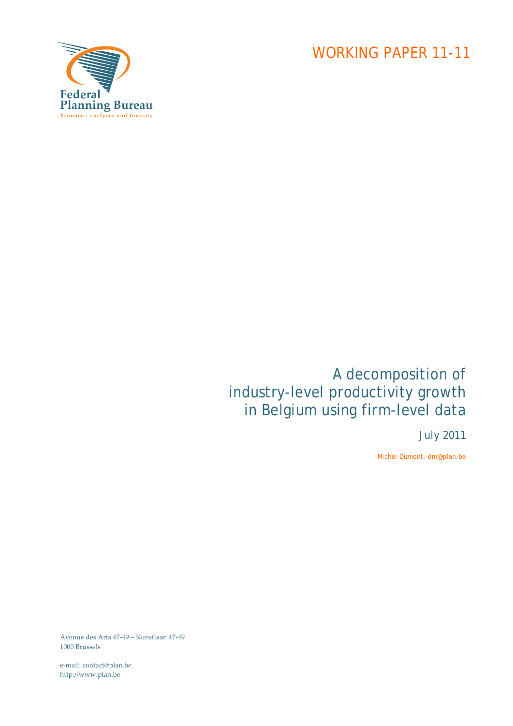

# A decomposition of industry-level productivity growth in Belgium using firm-level data

July 2011

Michel Dumont, dm@plan.be

Avenue des Arts 47‐49 – Kunstlaan 47‐49 1000 Brussels

e‐mail: contact@plan.be http://www.plan.be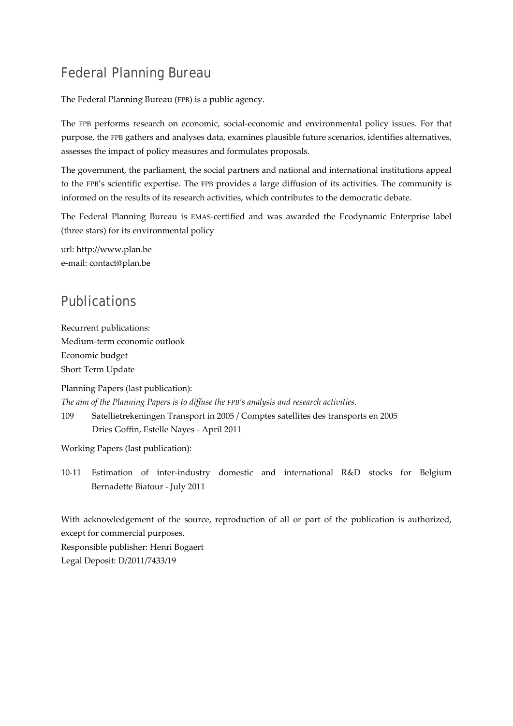# Federal Planning Bureau

The Federal Planning Bureau (FPB) is a public agency.

The FPB performs research on economic, social-economic and environmental policy issues. For that purpose, the FPB gathers and analyses data, examines plausible future scenarios, identifies alternatives, assesses the impact of policy measures and formulates proposals.

The government, the parliament, the social partners and national and international institutions appeal to the FPB's scientific expertise. The FPB provides a large diffusion of its activities. The community is informed on the results of its research activities, which contributes to the democratic debate.

The Federal Planning Bureau is EMAS‐certified and was awarded the Ecodynamic Enterprise label (three stars) for its environmental policy

url: http://www.plan.be e‐mail: contact@plan.be

# Publications

Recurrent publications: Medium‐term economic outlook Economic budget Short Term Update

Planning Papers (last publication): *The aim of the Planning Papers is to diffuse the FPB's analysis and research activities.* 

109 Satellietrekeningen Transport in 2005 / Comptes satellites des transports en 2005 Dries Goffin, Estelle Nayes ‐ April 2011

Working Papers (last publication):

10‐11 Estimation of inter‐industry domestic and international R&D stocks for Belgium Bernadette Biatour ‐ July 2011

With acknowledgement of the source, reproduction of all or part of the publication is authorized, except for commercial purposes. Responsible publisher: Henri Bogaert Legal Deposit: D/2011/7433/19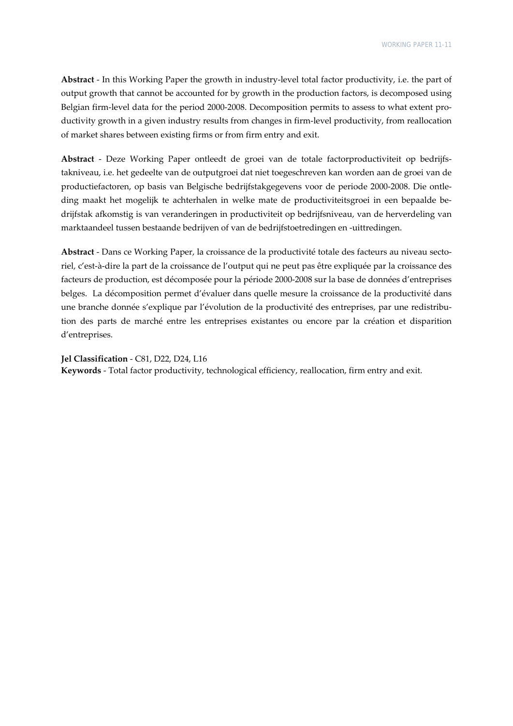**Abstract** ‐ In this Working Paper the growth in industry‐level total factor productivity, i.e. the part of output growth that cannot be accounted for by growth in the production factors, is decomposed using Belgian firm-level data for the period 2000-2008. Decomposition permits to assess to what extent productivity growth in a given industry results from changes in firm‐level productivity, from reallocation of market shares between existing firms or from firm entry and exit.

**Abstract** ‐ Deze Working Paper ontleedt de groei van de totale factorproductiviteit op bedrijfs‐ takniveau, i.e. het gedeelte van de outputgroei dat niet toegeschreven kan worden aan de groei van de productiefactoren, op basis van Belgische bedrijfstakgegevens voor de periode 2000‐2008. Die ontle‐ ding maakt het mogelijk te achterhalen in welke mate de productiviteitsgroei in een bepaalde be‐ drijfstak afkomstig is van veranderingen in productiviteit op bedrijfsniveau, van de herverdeling van marktaandeel tussen bestaande bedrijven of van de bedrijfstoetredingen en ‐uittredingen.

**Abstract** ‐ Dans ce Working Paper, la croissance de la productivité totale des facteurs au niveau secto‐ riel, c'est‐à‐dire la part de la croissance de l'output qui ne peut pas être expliquée par la croissance des facteurs de production, est décomposée pour la période 2000‐2008 sur la base de données d'entreprises belges. La décomposition permet d'évaluer dans quelle mesure la croissance de la productivité dans une branche donnée s'explique par l'évolution de la productivité des entreprises, par une redistribution des parts de marché entre les entreprises existantes ou encore par la création et disparition d'entreprises.

**Jel Classification** ‐ C81, D22, D24, L16 **Keywords** ‐ Total factor productivity, technological efficiency, reallocation, firm entry and exit.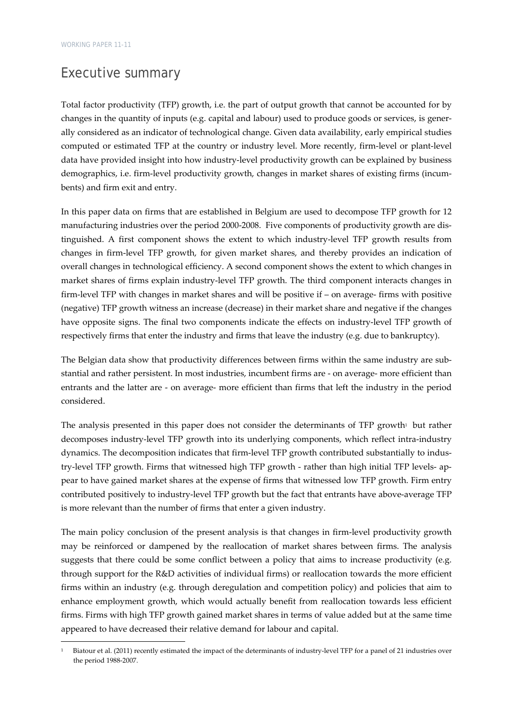# Executive summary

<u> Andrew Maria (1995)</u>

Total factor productivity (TFP) growth, i.e. the part of output growth that cannot be accounted for by changes in the quantity of inputs (e.g. capital and labour) used to produce goods or services, is generally considered as an indicator of technological change. Given data availability, early empirical studies computed or estimated TFP at the country or industry level. More recently, firm-level or plant-level data have provided insight into how industry‐level productivity growth can be explained by business demographics, i.e. firm-level productivity growth, changes in market shares of existing firms (incumbents) and firm exit and entry.

In this paper data on firms that are established in Belgium are used to decompose TFP growth for 12 manufacturing industries over the period 2000‐2008. Five components of productivity growth are dis‐ tinguished. A first component shows the extent to which industry‐level TFP growth results from changes in firm‐level TFP growth, for given market shares, and thereby provides an indication of overall changes in technological efficiency. A second component shows the extent to which changes in market shares of firms explain industry‐level TFP growth. The third component interacts changes in firm-level TFP with changes in market shares and will be positive if – on average- firms with positive (negative) TFP growth witness an increase (decrease) in their market share and negative if the changes have opposite signs. The final two components indicate the effects on industry-level TFP growth of respectively firms that enter the industry and firms that leave the industry (e.g. due to bankruptcy).

The Belgian data show that productivity differences between firms within the same industry are substantial and rather persistent. In most industries, incumbent firms are ‐ on average‐ more efficient than entrants and the latter are ‐ on average‐ more efficient than firms that left the industry in the period considered.

The analysis presented in this paper does not consider the determinants of TFP growth<sup>1</sup> but rather decomposes industry‐level TFP growth into its underlying components, which reflect intra‐industry dynamics. The decomposition indicates that firm-level TFP growth contributed substantially to industry-level TFP growth. Firms that witnessed high TFP growth - rather than high initial TFP levels- appear to have gained market shares at the expense of firms that witnessed low TFP growth. Firm entry contributed positively to industry-level TFP growth but the fact that entrants have above-average TFP is more relevant than the number of firms that enter a given industry.

The main policy conclusion of the present analysis is that changes in firm-level productivity growth may be reinforced or dampened by the reallocation of market shares between firms. The analysis suggests that there could be some conflict between a policy that aims to increase productivity (e.g. through support for the R&D activities of individual firms) or reallocation towards the more efficient firms within an industry (e.g. through deregulation and competition policy) and policies that aim to enhance employment growth, which would actually benefit from reallocation towards less efficient firms. Firms with high TFP growth gained market shares in terms of value added but at the same time appeared to have decreased their relative demand for labour and capital.

Biatour et al. (2011) recently estimated the impact of the determinants of industry-level TFP for a panel of 21 industries over the period 1988‐2007.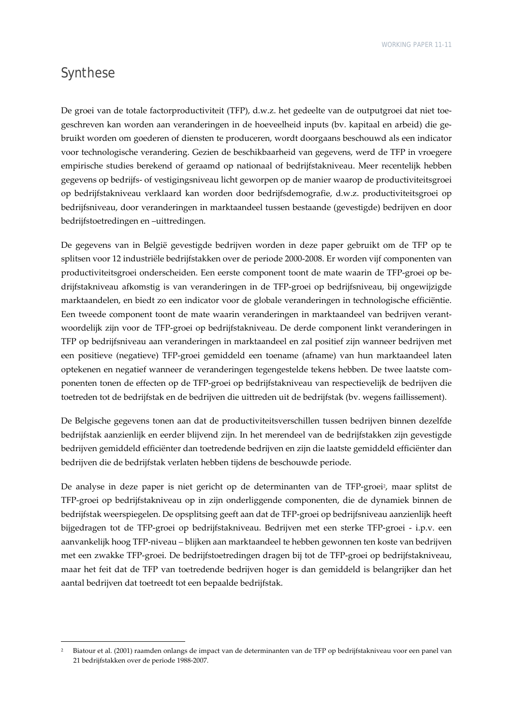# Synthese

De groei van de totale factorproductiviteit (TFP), d.w.z. het gedeelte van de outputgroei dat niet toe‐ geschreven kan worden aan veranderingen in de hoeveelheid inputs (bv. kapitaal en arbeid) die gebruikt worden om goederen of diensten te produceren, wordt doorgaans beschouwd als een indicator voor technologische verandering. Gezien de beschikbaarheid van gegevens, werd de TFP in vroegere empirische studies berekend of geraamd op nationaal of bedrijfstakniveau. Meer recentelijk hebben gegevens op bedrijfs‐ of vestigingsniveau licht geworpen op de manier waarop de productiviteitsgroei op bedrijfstakniveau verklaard kan worden door bedrijfsdemografie, d.w.z. productiviteitsgroei op bedrijfsniveau, door veranderingen in marktaandeel tussen bestaande (gevestigde) bedrijven en door bedrijfstoetredingen en –uittredingen.

De gegevens van in België gevestigde bedrijven worden in deze paper gebruikt om de TFP op te splitsen voor 12 industriële bedrijfstakken over de periode 2000‐2008. Er worden vijf componenten van productiviteitsgroei onderscheiden. Een eerste component toont de mate waarin de TFP‐groei op be‐ drijfstakniveau afkomstig is van veranderingen in de TFP‐groei op bedrijfsniveau, bij ongewijzigde marktaandelen, en biedt zo een indicator voor de globale veranderingen in technologische efficiëntie. Een tweede component toont de mate waarin veranderingen in marktaandeel van bedrijven verant‐ woordelijk zijn voor de TFP‐groei op bedrijfstakniveau. De derde component linkt veranderingen in TFP op bedrijfsniveau aan veranderingen in marktaandeel en zal positief zijn wanneer bedrijven met een positieve (negatieve) TFP‐groei gemiddeld een toename (afname) van hun marktaandeel laten optekenen en negatief wanneer de veranderingen tegengestelde tekens hebben. De twee laatste componenten tonen de effecten op de TFP‐groei op bedrijfstakniveau van respectievelijk de bedrijven die toetreden tot de bedrijfstak en de bedrijven die uittreden uit de bedrijfstak (bv. wegens faillissement).

De Belgische gegevens tonen aan dat de productiviteitsverschillen tussen bedrijven binnen dezelfde bedrijfstak aanzienlijk en eerder blijvend zijn. In het merendeel van de bedrijfstakken zijn gevestigde bedrijven gemiddeld efficiënter dan toetredende bedrijven en zijn die laatste gemiddeld efficiënter dan bedrijven die de bedrijfstak verlaten hebben tijdens de beschouwde periode.

De analyse in deze paper is niet gericht op de determinanten van de TFP‐groei2, maar splitst de TFP‐groei op bedrijfstakniveau op in zijn onderliggende componenten, die de dynamiek binnen de bedrijfstak weerspiegelen. De opsplitsing geeft aan dat de TFP‐groei op bedrijfsniveau aanzienlijk heeft bijgedragen tot de TFP‐groei op bedrijfstakniveau. Bedrijven met een sterke TFP‐groei ‐ i.p.v. een aanvankelijk hoog TFP‐niveau – blijken aan marktaandeel te hebben gewonnen ten koste van bedrijven met een zwakke TFP‐groei. De bedrijfstoetredingen dragen bij tot de TFP‐groei op bedrijfstakniveau, maar het feit dat de TFP van toetredende bedrijven hoger is dan gemiddeld is belangrijker dan het aantal bedrijven dat toetreedt tot een bepaalde bedrijfstak.

<sup>2</sup> Biatour et al. (2001) raamden onlangs de impact van de determinanten van de TFP op bedrijfstakniveau voor een panel van 21 bedrijfstakken over de periode 1988‐2007.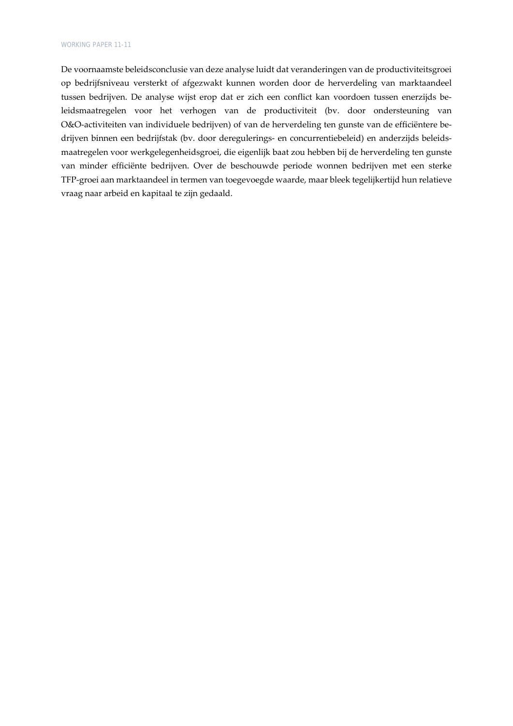De voornaamste beleidsconclusie van deze analyse luidt dat veranderingen van de productiviteitsgroei op bedrijfsniveau versterkt of afgezwakt kunnen worden door de herverdeling van marktaandeel tussen bedrijven. De analyse wijst erop dat er zich een conflict kan voordoen tussen enerzijds be‐ leidsmaatregelen voor het verhogen van de productiviteit (bv. door ondersteuning van O&O‐activiteiten van individuele bedrijven) of van de herverdeling ten gunste van de efficiëntere be‐ drijven binnen een bedrijfstak (bv. door deregulerings‐ en concurrentiebeleid) en anderzijds beleids‐ maatregelen voor werkgelegenheidsgroei, die eigenlijk baat zou hebben bij de herverdeling ten gunste van minder efficiënte bedrijven. Over de beschouwde periode wonnen bedrijven met een sterke TFP‐groei aan marktaandeel in termen van toegevoegde waarde, maar bleek tegelijkertijd hun relatieve vraag naar arbeid en kapitaal te zijn gedaald.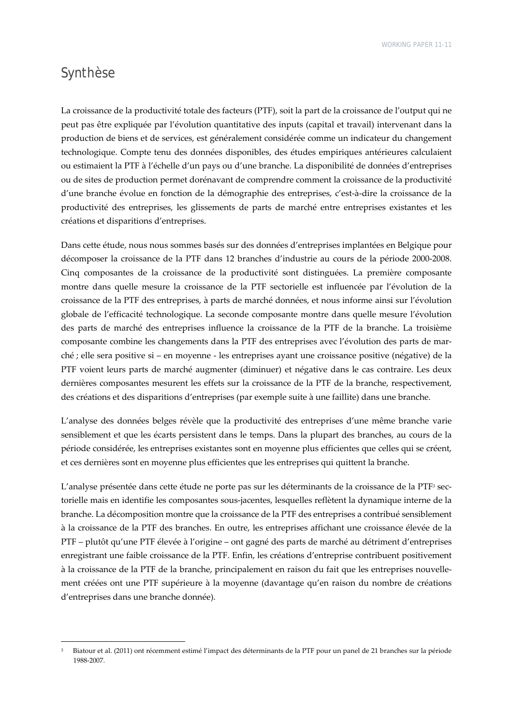## Synthèse

La croissance de la productivité totale des facteurs (PTF), soit la part de la croissance de l'output qui ne peut pas être expliquée par l'évolution quantitative des inputs (capital et travail) intervenant dans la production de biens et de services, est généralement considérée comme un indicateur du changement technologique. Compte tenu des données disponibles, des études empiriques antérieures calculaient ou estimaient la PTF à l'échelle d'un pays ou d'une branche. La disponibilité de données d'entreprises ou de sites de production permet dorénavant de comprendre comment la croissance de la productivité d'une branche évolue en fonction de la démographie des entreprises, c'est‐à‐dire la croissance de la productivité des entreprises, les glissements de parts de marché entre entreprises existantes et les créations et disparitions d'entreprises.

Dans cette étude, nous nous sommes basés sur des données d'entreprises implantées en Belgique pour décomposer la croissance de la PTF dans 12 branches d'industrie au cours de la période 2000‐2008. Cinq composantes de la croissance de la productivité sont distinguées. La première composante montre dans quelle mesure la croissance de la PTF sectorielle est influencée par l'évolution de la croissance de la PTF des entreprises, à parts de marché données, et nous informe ainsi sur l'évolution globale de l'efficacité technologique. La seconde composante montre dans quelle mesure l'évolution des parts de marché des entreprises influence la croissance de la PTF de la branche. La troisième composante combine les changements dans la PTF des entreprises avec l'évolution des parts de marché ; elle sera positive si – en moyenne ‐ les entreprises ayant une croissance positive (négative) de la PTF voient leurs parts de marché augmenter (diminuer) et négative dans le cas contraire. Les deux dernières composantes mesurent les effets sur la croissance de la PTF de la branche, respectivement, des créations et des disparitions d'entreprises (par exemple suite à une faillite) dans une branche.

L'analyse des données belges révèle que la productivité des entreprises d'une même branche varie sensiblement et que les écarts persistent dans le temps. Dans la plupart des branches, au cours de la période considérée, les entreprises existantes sont en moyenne plus efficientes que celles qui se créent, et ces dernières sont en moyenne plus efficientes que les entreprises qui quittent la branche.

L'analyse présentée dans cette étude ne porte pas sur les déterminants de la croissance de la PTF<sup>3</sup> sectorielle mais en identifie les composantes sous‐jacentes, lesquelles reflètent la dynamique interne de la branche. La décomposition montre que la croissance de la PTF des entreprises a contribué sensiblement à la croissance de la PTF des branches. En outre, les entreprises affichant une croissance élevée de la PTF – plutôt qu'une PTF élevée à l'origine – ont gagné des parts de marché au détriment d'entreprises enregistrant une faible croissance de la PTF. Enfin, les créations d'entreprise contribuent positivement à la croissance de la PTF de la branche, principalement en raison du fait que les entreprises nouvelle‐ ment créées ont une PTF supérieure à la moyenne (davantage qu'en raison du nombre de créations d'entreprises dans une branche donnée).

<sup>3</sup> Biatour et al. (2011) ont récemment estimé l'impact des déterminants de la PTF pour un panel de 21 branches sur la période 1988‐2007.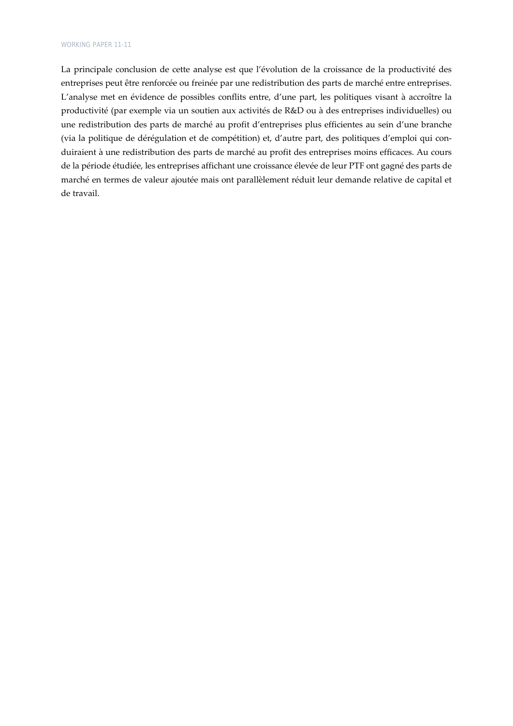La principale conclusion de cette analyse est que l'évolution de la croissance de la productivité des entreprises peut être renforcée ou freinée par une redistribution des parts de marché entre entreprises. L'analyse met en évidence de possibles conflits entre, d'une part, les politiques visant à accroître la productivité (par exemple via un soutien aux activités de R&D ou à des entreprises individuelles) ou une redistribution des parts de marché au profit d'entreprises plus efficientes au sein d'une branche (via la politique de dérégulation et de compétition) et, d'autre part, des politiques d'emploi qui con‐ duiraient à une redistribution des parts de marché au profit des entreprises moins efficaces. Au cours de la période étudiée, les entreprises affichant une croissance élevée de leur PTF ont gagné des parts de marché en termes de valeur ajoutée mais ont parallèlement réduit leur demande relative de capital et de travail.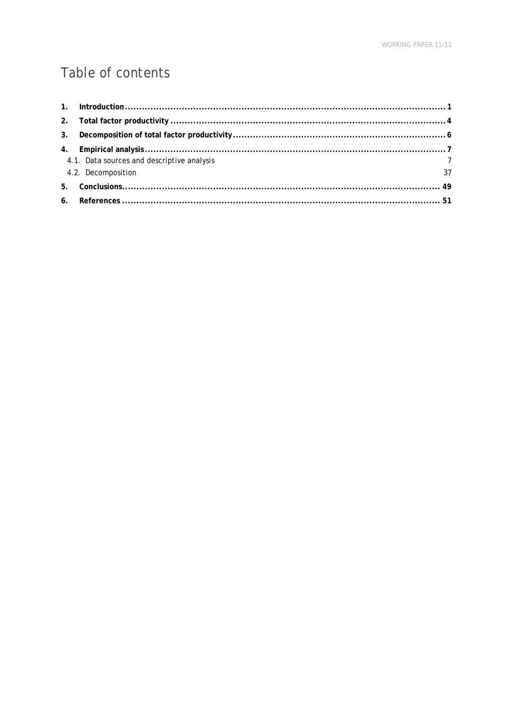# Table of contents

| 4.1. Data sources and descriptive analysis |  |
|--------------------------------------------|--|
| $\frac{7}{37}$<br>4.2. Decomposition       |  |
|                                            |  |
|                                            |  |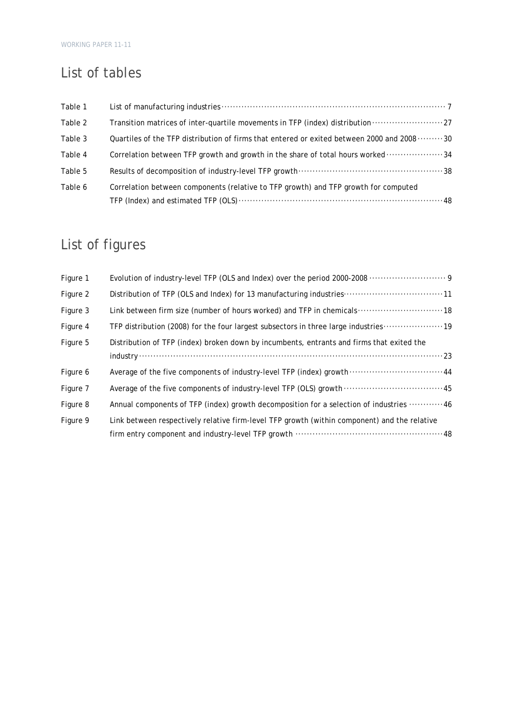# List of tables

| Table 1 |                                                                                           |
|---------|-------------------------------------------------------------------------------------------|
| Table 2 | Transition matrices of inter-quartile movements in TFP (index) distribution 27            |
| Table 3 | Quartiles of the TFP distribution of firms that entered or exited between 2000 and 200830 |
| Table 4 | Correlation between TFP growth and growth in the share of total hours worked 34           |
| Table 5 |                                                                                           |
| Table 6 | Correlation between components (relative to TFP growth) and TFP growth for computed       |
|         |                                                                                           |

# List of figures

| Figure 1 |                                                                                                                  |
|----------|------------------------------------------------------------------------------------------------------------------|
| Figure 2 | Distribution of TFP (OLS and Index) for 13 manufacturing industries 11                                           |
| Figure 3 | Link between firm size (number of hours worked) and TFP in chemicals 18                                          |
| Figure 4 | TFP distribution (2008) for the four largest subsectors in three large industries 19                             |
| Figure 5 | Distribution of TFP (index) broken down by incumbents, entrants and firms that exited the<br>$industry \dots 23$ |
| Figure 6 | Average of the five components of industry-level TFP (index) growth  44                                          |
| Figure 7 | Average of the five components of industry-level TFP (OLS) growth  45                                            |
| Figure 8 | Annual components of TFP (index) growth decomposition for a selection of industries  46                          |
| Figure 9 | Link between respectively relative firm-level TFP growth (within component) and the relative                     |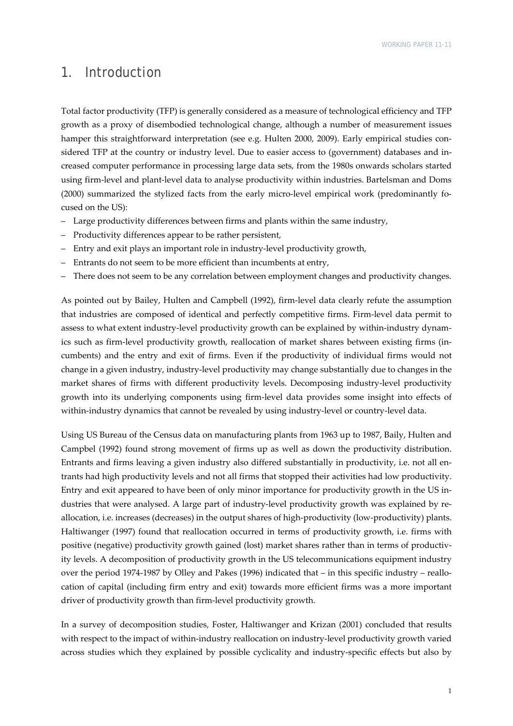## 1. Introduction

Total factor productivity (TFP) is generally considered as a measure of technological efficiency and TFP growth as a proxy of disembodied technological change, although a number of measurement issues hamper this straightforward interpretation (see e.g. Hulten 2000, 2009). Early empirical studies considered TFP at the country or industry level. Due to easier access to (government) databases and increased computer performance in processing large data sets, from the 1980s onwards scholars started using firm‐level and plant‐level data to analyse productivity within industries. Bartelsman and Doms (2000) summarized the stylized facts from the early micro-level empirical work (predominantly focused on the US):

- Large productivity differences between firms and plants within the same industry,
- Productivity differences appear to be rather persistent,
- Entry and exit plays an important role in industry‐level productivity growth,
- Entrants do not seem to be more efficient than incumbents at entry,
- There does not seem to be any correlation between employment changes and productivity changes.

As pointed out by Bailey, Hulten and Campbell (1992), firm‐level data clearly refute the assumption that industries are composed of identical and perfectly competitive firms. Firm-level data permit to assess to what extent industry-level productivity growth can be explained by within-industry dynamics such as firm-level productivity growth, reallocation of market shares between existing firms (incumbents) and the entry and exit of firms. Even if the productivity of individual firms would not change in a given industry, industry‐level productivity may change substantially due to changes in the market shares of firms with different productivity levels. Decomposing industry‐level productivity growth into its underlying components using firm‐level data provides some insight into effects of within-industry dynamics that cannot be revealed by using industry-level or country-level data.

Using US Bureau of the Census data on manufacturing plants from 1963 up to 1987, Baily, Hulten and Campbel (1992) found strong movement of firms up as well as down the productivity distribution. Entrants and firms leaving a given industry also differed substantially in productivity, i.e. not all entrants had high productivity levels and not all firms that stopped their activities had low productivity. Entry and exit appeared to have been of only minor importance for productivity growth in the US in‐ dustries that were analysed. A large part of industry-level productivity growth was explained by reallocation, i.e. increases (decreases) in the output shares of high-productivity (low-productivity) plants. Haltiwanger (1997) found that reallocation occurred in terms of productivity growth, i.e. firms with positive (negative) productivity growth gained (lost) market shares rather than in terms of productivity levels. A decomposition of productivity growth in the US telecommunications equipment industry over the period 1974-1987 by Olley and Pakes (1996) indicated that – in this specific industry – reallocation of capital (including firm entry and exit) towards more efficient firms was a more important driver of productivity growth than firm‐level productivity growth.

In a survey of decomposition studies, Foster, Haltiwanger and Krizan (2001) concluded that results with respect to the impact of within-industry reallocation on industry-level productivity growth varied across studies which they explained by possible cyclicality and industry‐specific effects but also by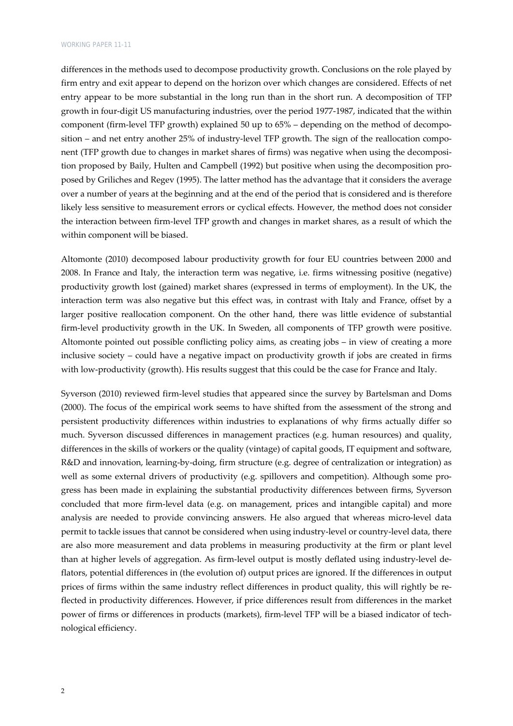differences in the methods used to decompose productivity growth. Conclusions on the role played by firm entry and exit appear to depend on the horizon over which changes are considered. Effects of net entry appear to be more substantial in the long run than in the short run. A decomposition of TFP growth in four‐digit US manufacturing industries, over the period 1977‐1987, indicated that the within component (firm-level TFP growth) explained 50 up to 65% – depending on the method of decomposition – and net entry another 25% of industry-level TFP growth. The sign of the reallocation component (TFP growth due to changes in market shares of firms) was negative when using the decomposition proposed by Baily, Hulten and Campbell (1992) but positive when using the decomposition pro‐ posed by Griliches and Regev (1995). The latter method has the advantage that it considers the average over a number of years at the beginning and at the end of the period that is considered and is therefore likely less sensitive to measurement errors or cyclical effects. However, the method does not consider the interaction between firm‐level TFP growth and changes in market shares, as a result of which the within component will be biased.

Altomonte (2010) decomposed labour productivity growth for four EU countries between 2000 and 2008. In France and Italy, the interaction term was negative, i.e. firms witnessing positive (negative) productivity growth lost (gained) market shares (expressed in terms of employment). In the UK, the interaction term was also negative but this effect was, in contrast with Italy and France, offset by a larger positive reallocation component. On the other hand, there was little evidence of substantial firm-level productivity growth in the UK. In Sweden, all components of TFP growth were positive. Altomonte pointed out possible conflicting policy aims, as creating jobs – in view of creating a more inclusive society – could have a negative impact on productivity growth if jobs are created in firms with low-productivity (growth). His results suggest that this could be the case for France and Italy.

Syverson (2010) reviewed firm‐level studies that appeared since the survey by Bartelsman and Doms (2000). The focus of the empirical work seems to have shifted from the assessment of the strong and persistent productivity differences within industries to explanations of why firms actually differ so much. Syverson discussed differences in management practices (e.g. human resources) and quality, differences in the skills of workers or the quality (vintage) of capital goods, IT equipment and software, R&D and innovation, learning‐by‐doing, firm structure (e.g. degree of centralization or integration) as well as some external drivers of productivity (e.g. spillovers and competition). Although some progress has been made in explaining the substantial productivity differences between firms, Syverson concluded that more firm‐level data (e.g. on management, prices and intangible capital) and more analysis are needed to provide convincing answers. He also argued that whereas micro‐level data permit to tackle issues that cannot be considered when using industry-level or country-level data, there are also more measurement and data problems in measuring productivity at the firm or plant level than at higher levels of aggregation. As firm‐level output is mostly deflated using industry‐level de‐ flators, potential differences in (the evolution of) output prices are ignored. If the differences in output prices of firms within the same industry reflect differences in product quality, this will rightly be reflected in productivity differences. However, if price differences result from differences in the market power of firms or differences in products (markets), firm-level TFP will be a biased indicator of technological efficiency.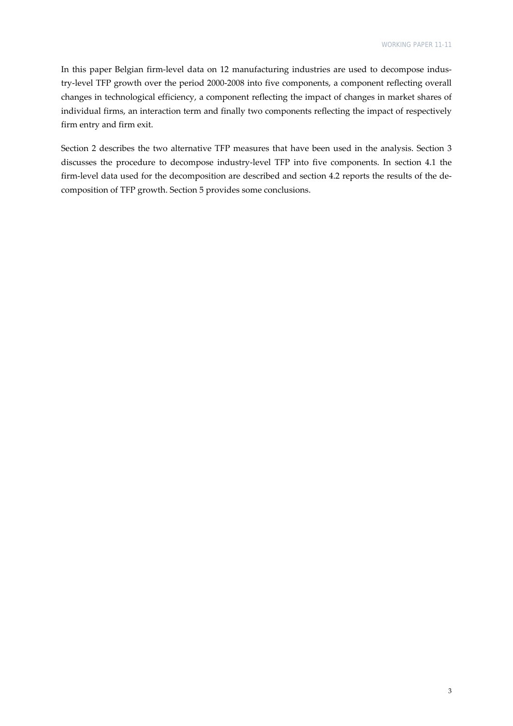In this paper Belgian firm-level data on 12 manufacturing industries are used to decompose industry‐level TFP growth over the period 2000‐2008 into five components, a component reflecting overall changes in technological efficiency, a component reflecting the impact of changes in market shares of individual firms, an interaction term and finally two components reflecting the impact of respectively firm entry and firm exit.

Section 2 describes the two alternative TFP measures that have been used in the analysis. Section 3 discusses the procedure to decompose industry‐level TFP into five components. In section 4.1 the firm-level data used for the decomposition are described and section 4.2 reports the results of the decomposition of TFP growth. Section 5 provides some conclusions.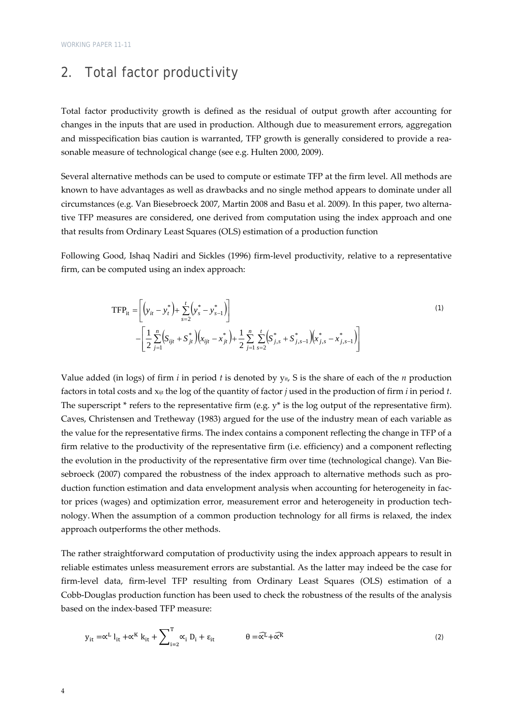# 2. Total factor productivity

Total factor productivity growth is defined as the residual of output growth after accounting for changes in the inputs that are used in production. Although due to measurement errors, aggregation and misspecification bias caution is warranted, TFP growth is generally considered to provide a reasonable measure of technological change (see e.g. Hulten 2000, 2009).

Several alternative methods can be used to compute or estimate TFP at the firm level. All methods are known to have advantages as well as drawbacks and no single method appears to dominate under all circumstances (e.g. Van Biesebroeck 2007, Martin 2008 and Basu et al. 2009). In this paper, two alterna‐ tive TFP measures are considered, one derived from computation using the index approach and one that results from Ordinary Least Squares (OLS) estimation of a production function

Following Good, Ishaq Nadiri and Sickles (1996) firm‐level productivity, relative to a representative firm, can be computed using an index approach:

$$
\text{TFP}_{it} = \left[ \left( y_{it} - y_{t}^{*} \right) + \sum_{s=2}^{t} \left( y_{s}^{*} - y_{s-1}^{*} \right) \right] - \left[ \frac{1}{2} \sum_{j=1}^{n} \left( S_{ijt} + S_{jt}^{*} \right) \left( x_{ijt} - x_{jt}^{*} \right) + \frac{1}{2} \sum_{j=1}^{n} \sum_{s=2}^{t} \left( S_{j,s}^{*} + S_{j,s-1}^{*} \right) \left( x_{j,s}^{*} - x_{j,s-1}^{*} \right) \right]
$$
\n
$$
(1)
$$

Value added (in logs) of firm *i* in period *t* is denoted by yit, S is the share of each of the *n* production factors in total costs and xijt the log of the quantity of factor *j* used in the production of firm *i* in period *t*. The superscript \* refers to the representative firm (e.g.  $y^*$  is the log output of the representative firm). Caves, Christensen and Tretheway (1983) argued for the use of the industry mean of each variable as the value for the representative firms. The index contains a component reflecting the change in TFP of a firm relative to the productivity of the representative firm (i.e. efficiency) and a component reflecting the evolution in the productivity of the representative firm over time (technological change). Van Bie‐ sebroeck (2007) compared the robustness of the index approach to alternative methods such as production function estimation and data envelopment analysis when accounting for heterogeneity in factor prices (wages) and optimization error, measurement error and heterogeneity in production technology. When the assumption of a common production technology for all firms is relaxed, the index approach outperforms the other methods.

The rather straightforward computation of productivity using the index approach appears to result in reliable estimates unless measurement errors are substantial. As the latter may indeed be the case for firm-level data, firm-level TFP resulting from Ordinary Least Squares (OLS) estimation of a Cobb‐Douglas production function has been used to check the robustness of the results of the analysis based on the index‐based TFP measure:

$$
y_{it} = \alpha^{L} l_{it} + \alpha^{K} k_{it} + \sum_{i=2}^{T} \alpha_{i} D_{i} + \varepsilon_{it} \qquad \theta = \widehat{\alpha^{L}} + \widehat{\alpha^{R}}
$$
 (2)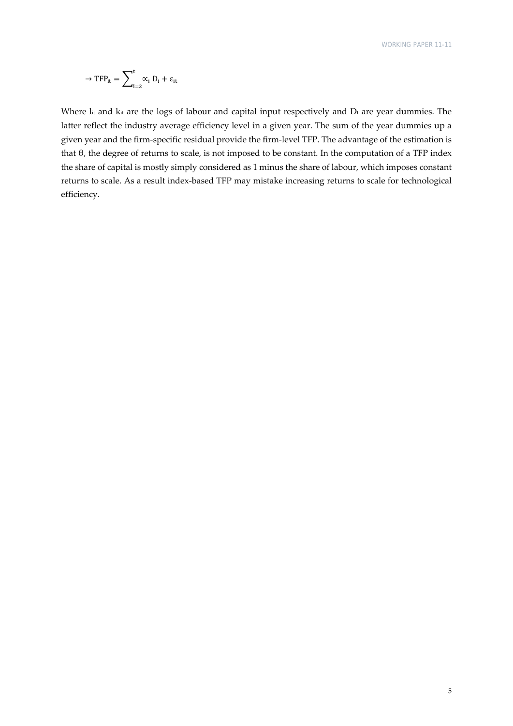$$
\rightarrow TFP_{it} = \sum\nolimits_{i=2}^{t} \alpha_i D_i + \varepsilon_{it}
$$

Where  $\rm{I}_{it}$  and  $\rm{k}_{it}$  are the logs of labour and capital input respectively and  $\rm{D}_{t}$  are year dummies. The latter reflect the industry average efficiency level in a given year. The sum of the year dummies up a given year and the firm‐specific residual provide the firm‐level TFP. The advantage of the estimation is that θ, the degree of returns to scale, is not imposed to be constant. In the computation of a TFP index the share of capital is mostly simply considered as 1 minus the share of labour, which imposes constant returns to scale. As a result index‐based TFP may mistake increasing returns to scale for technological efficiency.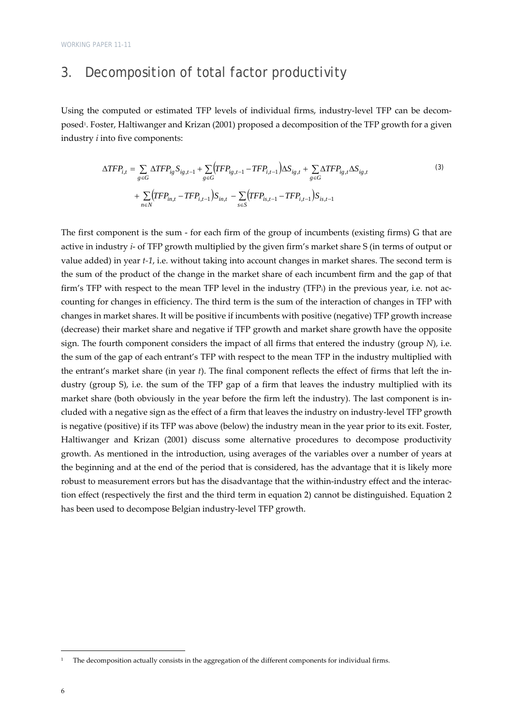# 3. Decomposition of total factor productivity

Using the computed or estimated TFP levels of individual firms, industry-level TFP can be decomposed<sup>1</sup>. Foster, Haltiwanger and Krizan (2001) proposed a decomposition of the TFP growth for a given industry *i* into five components:

$$
\Delta TFP_{i,t} = \sum_{g \in G} \Delta TFP_{ig} S_{ig,t-1} + \sum_{g \in G} (TFP_{ig,t-1} - TFP_{i,t-1}) \Delta S_{ig,t} + \sum_{g \in G} \Delta TFP_{ig,t} \Delta S_{ig,t}
$$
  
+ 
$$
\sum_{n \in N} (TFP_{in,t} - TFP_{i,t-1}) S_{in,t} - \sum_{s \in S} (TFP_{is,t-1} - TFP_{i,t-1}) S_{is,t-1}
$$
 (3)

The first component is the sum - for each firm of the group of incumbents (existing firms) G that are active in industry *i*‐ of TFP growth multiplied by the given firm's market share S (in terms of output or value added) in year *t*<sup>-1</sup>, i.e. without taking into account changes in market shares. The second term is the sum of the product of the change in the market share of each incumbent firm and the gap of that firm's TFP with respect to the mean TFP level in the industry (TFPi) in the previous year, i.e. not accounting for changes in efficiency. The third term is the sum of the interaction of changes in TFP with changes in market shares. It will be positive if incumbents with positive (negative) TFP growth increase (decrease) their market share and negative if TFP growth and market share growth have the opposite sign. The fourth component considers the impact of all firms that entered the industry (group *N*), i.e. the sum of the gap of each entrant's TFP with respect to the mean TFP in the industry multiplied with the entrant's market share (in year *t*). The final component reflects the effect of firms that left the industry (group S), i.e. the sum of the TFP gap of a firm that leaves the industry multiplied with its market share (both obviously in the year before the firm left the industry). The last component is in‐ cluded with a negative sign as the effect of a firm that leaves the industry on industry‐level TFP growth is negative (positive) if its TFP was above (below) the industry mean in the year prior to its exit. Foster, Haltiwanger and Krizan (2001) discuss some alternative procedures to decompose productivity growth. As mentioned in the introduction, using averages of the variables over a number of years at the beginning and at the end of the period that is considered, has the advantage that it is likely more robust to measurement errors but has the disadvantage that the within-industry effect and the interaction effect (respectively the first and the third term in equation 2) cannot be distinguished. Equation 2 has been used to decompose Belgian industry‐level TFP growth.

The decomposition actually consists in the aggregation of the different components for individual firms.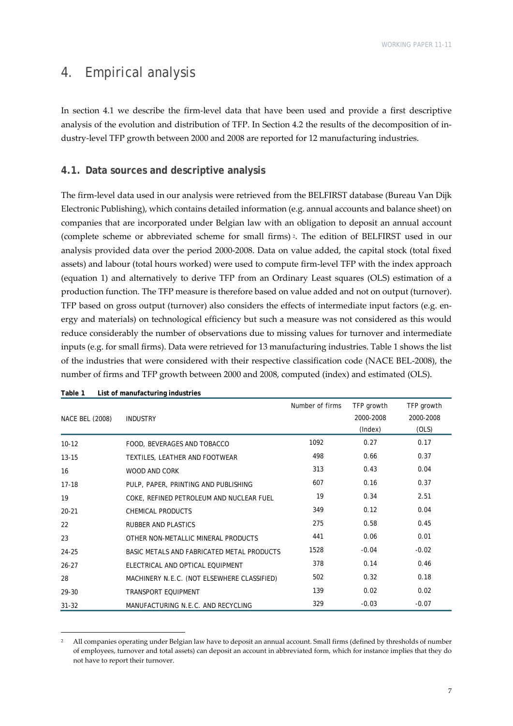# 4. Empirical analysis

In section 4.1 we describe the firm‐level data that have been used and provide a first descriptive analysis of the evolution and distribution of TFP. In Section 4.2 the results of the decomposition of in‐ dustry‐level TFP growth between 2000 and 2008 are reported for 12 manufacturing industries.

### **4.1. Data sources and descriptive analysis**

The firm‐level data used in our analysis were retrieved from the BELFIRST database (Bureau Van Dijk Electronic Publishing), which contains detailed information (e.g. annual accounts and balance sheet) on companies that are incorporated under Belgian law with an obligation to deposit an annual account (complete scheme or abbreviated scheme for small firms) 2. The edition of BELFIRST used in our analysis provided data over the period 2000‐2008. Data on value added, the capital stock (total fixed assets) and labour (total hours worked) were used to compute firm‐level TFP with the index approach (equation 1) and alternatively to derive TFP from an Ordinary Least squares (OLS) estimation of a production function. The TFP measure is therefore based on value added and not on output (turnover). TFP based on gross output (turnover) also considers the effects of intermediate input factors (e.g. energy and materials) on technological efficiency but such a measure was not considered as this would reduce considerably the number of observations due to missing values for turnover and intermediate inputs (e.g. for small firms). Data were retrieved for 13 manufacturing industries. Table 1 shows the list of the industries that were considered with their respective classification code (NACE BEL‐2008), the number of firms and TFP growth between 2000 and 2008, computed (index) and estimated (OLS).

| NACE BEL (2008) | <b>INDUSTRY</b>                             | Number of firms | TFP growth<br>2000-2008<br>(Index) | TFP growth<br>2000-2008<br>(OLS) |
|-----------------|---------------------------------------------|-----------------|------------------------------------|----------------------------------|
| $10 - 12$       | FOOD, BEVERAGES AND TOBACCO                 | 1092            | 0.27                               | 0.17                             |
| $13 - 15$       | TEXTILES, LEATHER AND FOOTWEAR              | 498             | 0.66                               | 0.37                             |
| 16              | <b>WOOD AND CORK</b>                        | 313             | 0.43                               | 0.04                             |
| $17 - 18$       | PULP, PAPER, PRINTING AND PUBLISHING        | 607             | 0.16                               | 0.37                             |
| 19              | COKE, REFINED PETROLEUM AND NUCLEAR FUEL    | 19              | 0.34                               | 2.51                             |
| $20 - 21$       | <b>CHEMICAL PRODUCTS</b>                    | 349             | 0.12                               | 0.04                             |
| 22              | <b>RUBBER AND PLASTICS</b>                  | 275             | 0.58                               | 0.45                             |
| 23              | OTHER NON-METALLIC MINERAL PRODUCTS         | 441             | 0.06                               | 0.01                             |
| 24-25           | BASIC METALS AND FABRICATED METAL PRODUCTS  | 1528            | $-0.04$                            | $-0.02$                          |
| $26 - 27$       | ELECTRICAL AND OPTICAL EQUIPMENT            | 378             | 0.14                               | 0.46                             |
| 28              | MACHINERY N.E.C. (NOT ELSEWHERE CLASSIFIED) | 502             | 0.32                               | 0.18                             |
| 29-30           | <b>TRANSPORT EOUIPMENT</b>                  | 139             | 0.02                               | 0.02                             |
| $31 - 32$       | MANUFACTURING N.E.C. AND RECYCLING          | 329             | $-0.03$                            | $-0.07$                          |

**Table 1 List of manufacturing industries** 

<sup>2</sup> All companies operating under Belgian law have to deposit an annual account. Small firms (defined by thresholds of number of employees, turnover and total assets) can deposit an account in abbreviated form, which for instance implies that they do not have to report their turnover.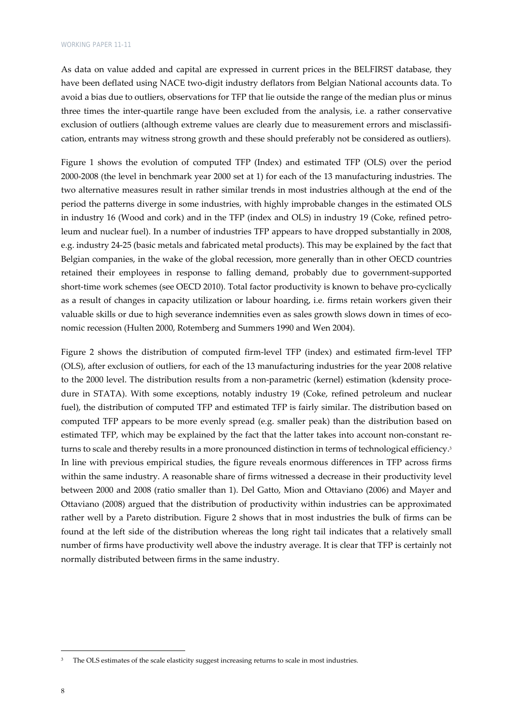As data on value added and capital are expressed in current prices in the BELFIRST database, they have been deflated using NACE two-digit industry deflators from Belgian National accounts data. To avoid a bias due to outliers, observations for TFP that lie outside the range of the median plus or minus three times the inter-quartile range have been excluded from the analysis, i.e. a rather conservative exclusion of outliers (although extreme values are clearly due to measurement errors and misclassification, entrants may witness strong growth and these should preferably not be considered as outliers).

Figure 1 shows the evolution of computed TFP (Index) and estimated TFP (OLS) over the period 2000‐2008 (the level in benchmark year 2000 set at 1) for each of the 13 manufacturing industries. The two alternative measures result in rather similar trends in most industries although at the end of the period the patterns diverge in some industries, with highly improbable changes in the estimated OLS in industry 16 (Wood and cork) and in the TFP (index and OLS) in industry 19 (Coke, refined petroleum and nuclear fuel). In a number of industries TFP appears to have dropped substantially in 2008, e.g. industry 24‐25 (basic metals and fabricated metal products). This may be explained by the fact that Belgian companies, in the wake of the global recession, more generally than in other OECD countries retained their employees in response to falling demand, probably due to government‐supported short-time work schemes (see OECD 2010). Total factor productivity is known to behave pro-cyclically as a result of changes in capacity utilization or labour hoarding, i.e. firms retain workers given their valuable skills or due to high severance indemnities even as sales growth slows down in times of economic recession (Hulten 2000, Rotemberg and Summers 1990 and Wen 2004).

Figure 2 shows the distribution of computed firm‐level TFP (index) and estimated firm‐level TFP (OLS), after exclusion of outliers, for each of the 13 manufacturing industries for the year 2008 relative to the 2000 level. The distribution results from a non-parametric (kernel) estimation (kdensity procedure in STATA). With some exceptions, notably industry 19 (Coke, refined petroleum and nuclear fuel), the distribution of computed TFP and estimated TFP is fairly similar. The distribution based on computed TFP appears to be more evenly spread (e.g. smaller peak) than the distribution based on estimated TFP, which may be explained by the fact that the latter takes into account non-constant returns to scale and thereby results in a more pronounced distinction in terms of technological efficiency.<sup>3</sup> In line with previous empirical studies, the figure reveals enormous differences in TFP across firms within the same industry. A reasonable share of firms witnessed a decrease in their productivity level between 2000 and 2008 (ratio smaller than 1). Del Gatto, Mion and Ottaviano (2006) and Mayer and Ottaviano (2008) argued that the distribution of productivity within industries can be approximated rather well by a Pareto distribution. Figure 2 shows that in most industries the bulk of firms can be found at the left side of the distribution whereas the long right tail indicates that a relatively small number of firms have productivity well above the industry average. It is clear that TFP is certainly not normally distributed between firms in the same industry.

The OLS estimates of the scale elasticity suggest increasing returns to scale in most industries.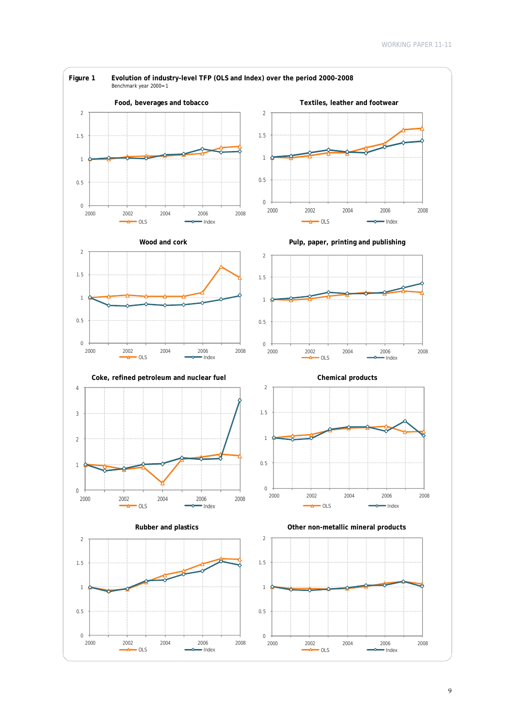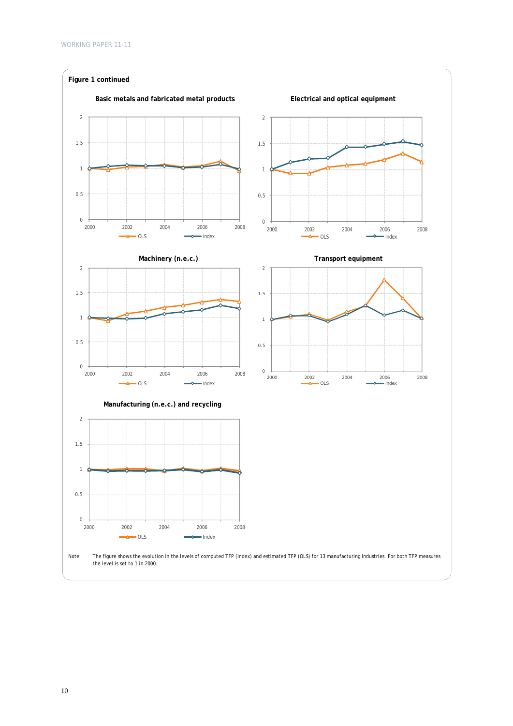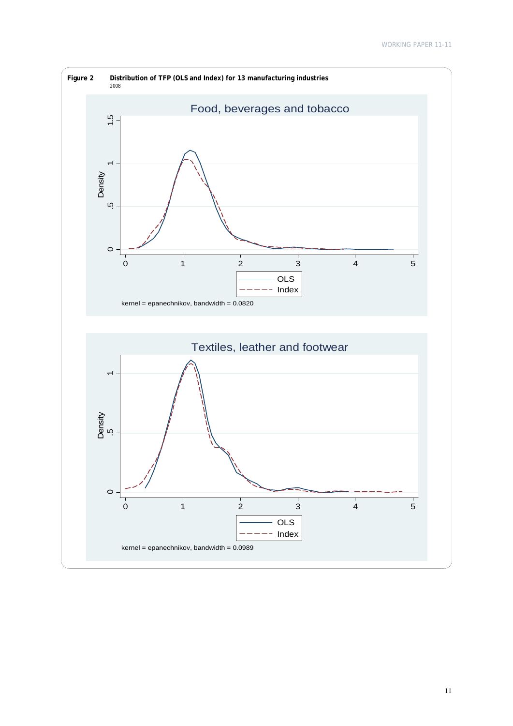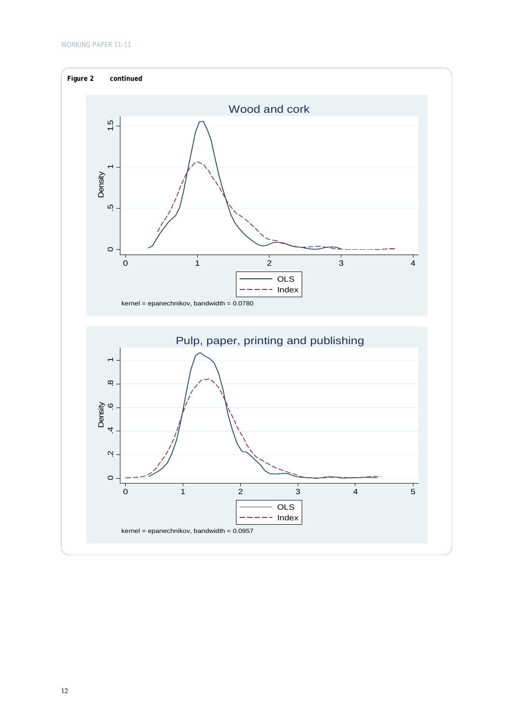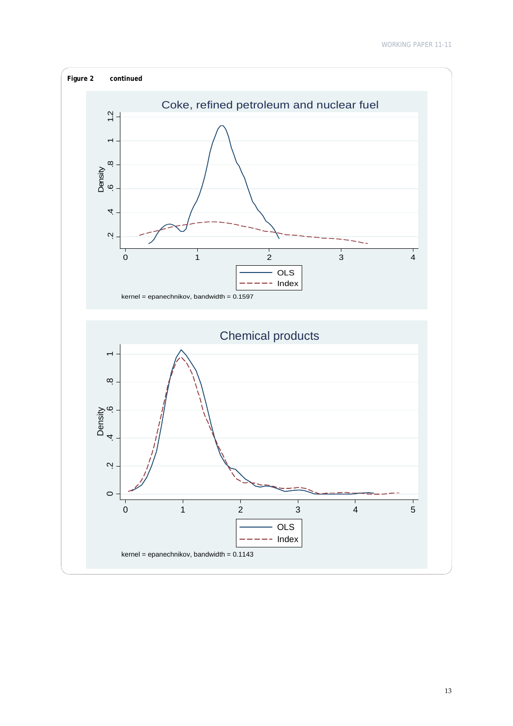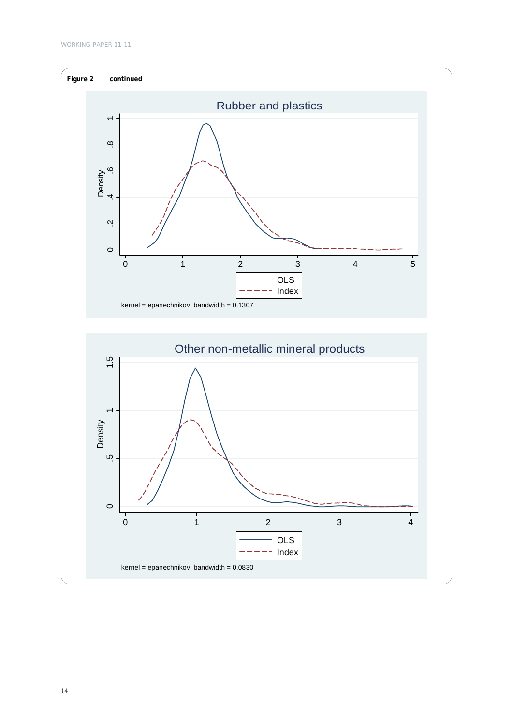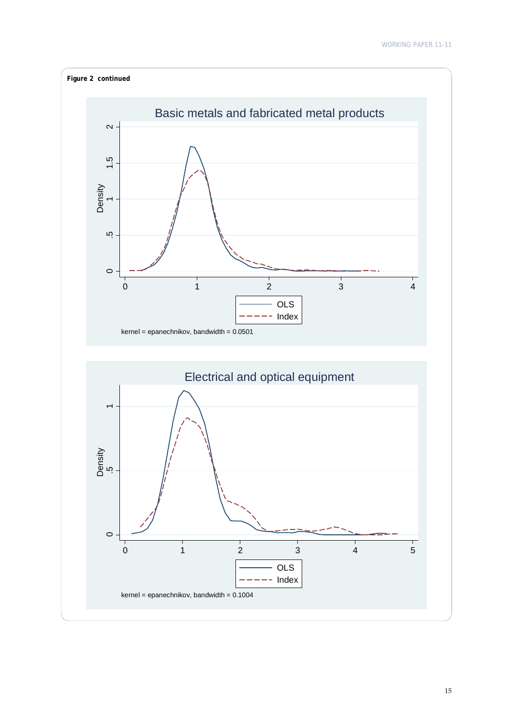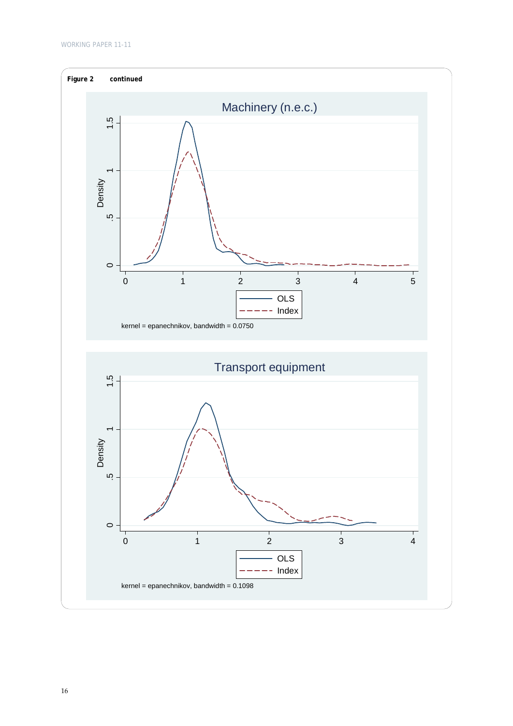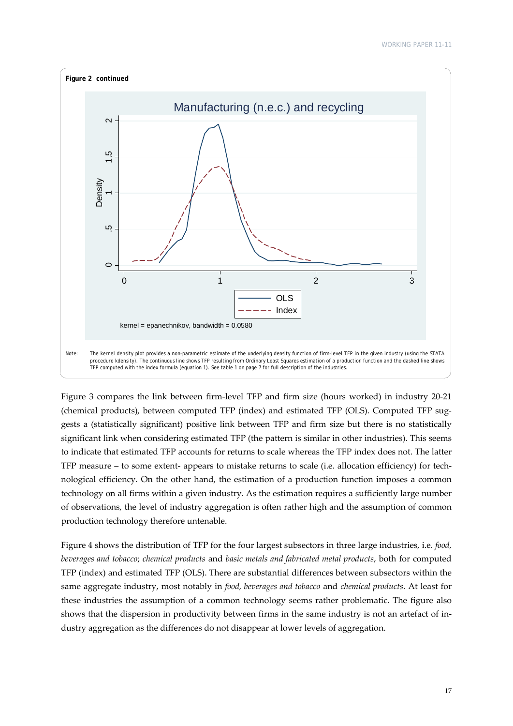

Figure 3 compares the link between firm-level TFP and firm size (hours worked) in industry 20-21 (chemical products), between computed TFP (index) and estimated TFP (OLS). Computed TFP sug‐ gests a (statistically significant) positive link between TFP and firm size but there is no statistically significant link when considering estimated TFP (the pattern is similar in other industries). This seems to indicate that estimated TFP accounts for returns to scale whereas the TFP index does not. The latter TFP measure – to some extent‐ appears to mistake returns to scale (i.e. allocation efficiency) for tech‐ nological efficiency. On the other hand, the estimation of a production function imposes a common technology on all firms within a given industry. As the estimation requires a sufficiently large number of observations, the level of industry aggregation is often rather high and the assumption of common production technology therefore untenable.

Figure 4 shows the distribution of TFP for the four largest subsectors in three large industries, i.e. *food, beverages and tobacco*; *chemical products* and *basic metals and fabricated metal products*, both for computed TFP (index) and estimated TFP (OLS). There are substantial differences between subsectors within the same aggregate industry, most notably in *food, beverages and tobacco* and *chemical products*. At least for these industries the assumption of a common technology seems rather problematic. The figure also shows that the dispersion in productivity between firms in the same industry is not an artefact of in‐ dustry aggregation as the differences do not disappear at lower levels of aggregation.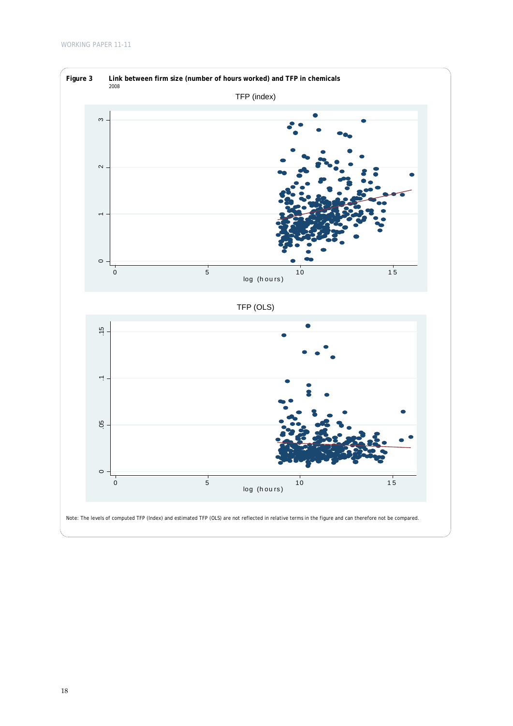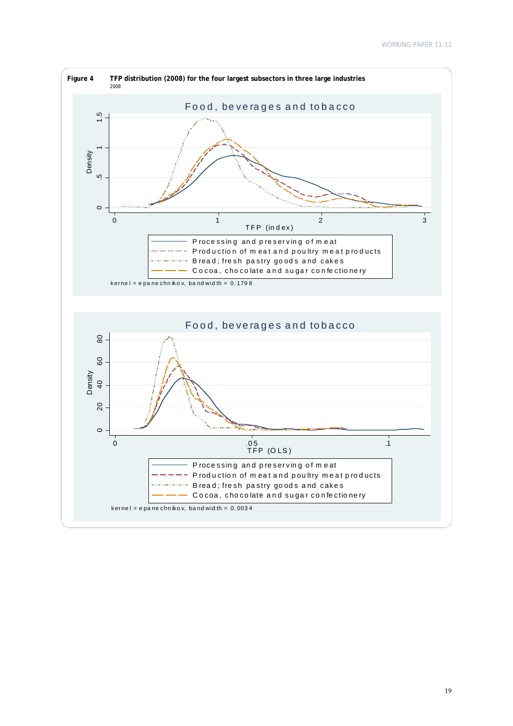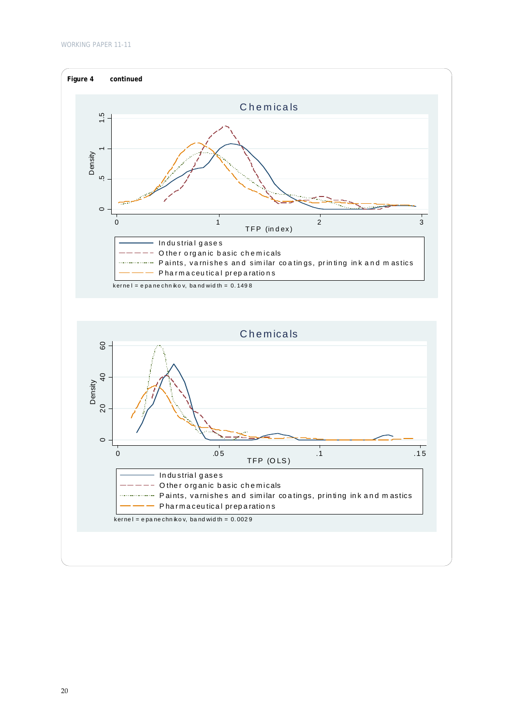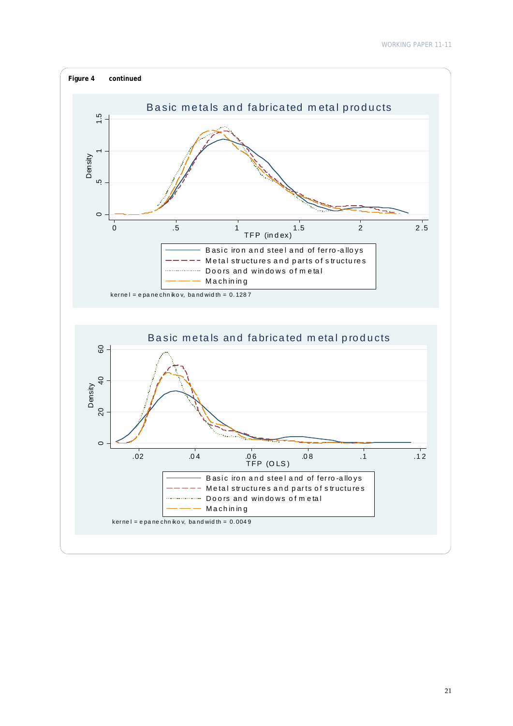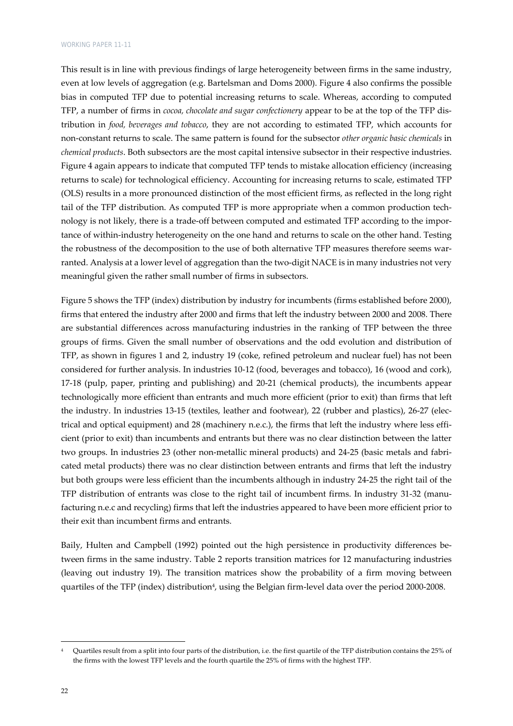This result is in line with previous findings of large heterogeneity between firms in the same industry, even at low levels of aggregation (e.g. Bartelsman and Doms 2000). Figure 4 also confirms the possible bias in computed TFP due to potential increasing returns to scale. Whereas, according to computed TFP, a number of firms in *cocoa, chocolate and sugar confectionery* appear to be at the top of the TFP dis‐ tribution in *food, beverages and tobacco*, they are not according to estimated TFP, which accounts for non‐constant returns to scale. The same pattern is found for the subsector *other organic basic chemicals* in *chemical products*. Both subsectors are the most capital intensive subsector in their respective industries. Figure 4 again appears to indicate that computed TFP tends to mistake allocation efficiency (increasing returns to scale) for technological efficiency. Accounting for increasing returns to scale, estimated TFP (OLS) results in a more pronounced distinction of the most efficient firms, as reflected in the long right tail of the TFP distribution. As computed TFP is more appropriate when a common production technology is not likely, there is a trade-off between computed and estimated TFP according to the importance of within‐industry heterogeneity on the one hand and returns to scale on the other hand. Testing the robustness of the decomposition to the use of both alternative TFP measures therefore seems warranted. Analysis at a lower level of aggregation than the two-digit NACE is in many industries not very meaningful given the rather small number of firms in subsectors.

Figure 5 shows the TFP (index) distribution by industry for incumbents (firms established before 2000), firms that entered the industry after 2000 and firms that left the industry between 2000 and 2008. There are substantial differences across manufacturing industries in the ranking of TFP between the three groups of firms. Given the small number of observations and the odd evolution and distribution of TFP, as shown in figures 1 and 2, industry 19 (coke, refined petroleum and nuclear fuel) has not been considered for further analysis. In industries 10‐12 (food, beverages and tobacco), 16 (wood and cork), 17‐18 (pulp, paper, printing and publishing) and 20‐21 (chemical products), the incumbents appear technologically more efficient than entrants and much more efficient (prior to exit) than firms that left the industry. In industries 13-15 (textiles, leather and footwear), 22 (rubber and plastics), 26-27 (electrical and optical equipment) and 28 (machinery n.e.c.), the firms that left the industry where less efficient (prior to exit) than incumbents and entrants but there was no clear distinction between the latter two groups. In industries 23 (other non-metallic mineral products) and 24-25 (basic metals and fabricated metal products) there was no clear distinction between entrants and firms that left the industry but both groups were less efficient than the incumbents although in industry 24‐25 the right tail of the TFP distribution of entrants was close to the right tail of incumbent firms. In industry 31‐32 (manu‐ facturing n.e.c and recycling) firms that left the industries appeared to have been more efficient prior to their exit than incumbent firms and entrants.

Baily, Hulten and Campbell (1992) pointed out the high persistence in productivity differences be‐ tween firms in the same industry. Table 2 reports transition matrices for 12 manufacturing industries (leaving out industry 19). The transition matrices show the probability of a firm moving between quartiles of the TFP (index) distribution<sup>4</sup>, using the Belgian firm-level data over the period 2000-2008.

Quartiles result from a split into four parts of the distribution, i.e. the first quartile of the TFP distribution contains the 25% of the firms with the lowest TFP levels and the fourth quartile the 25% of firms with the highest TFP.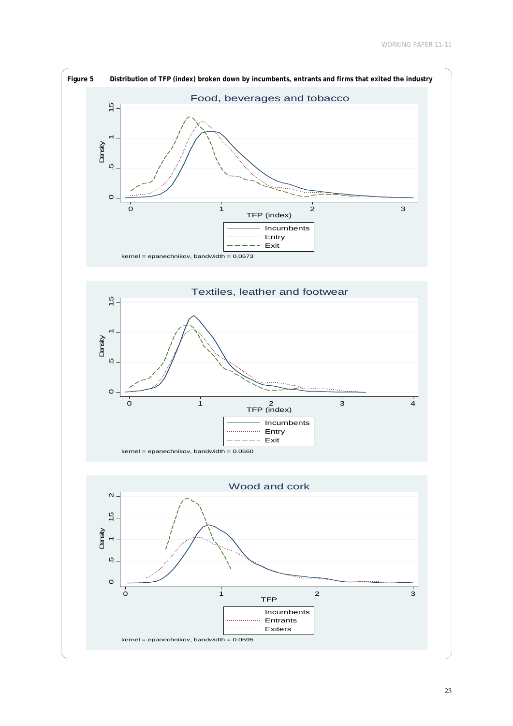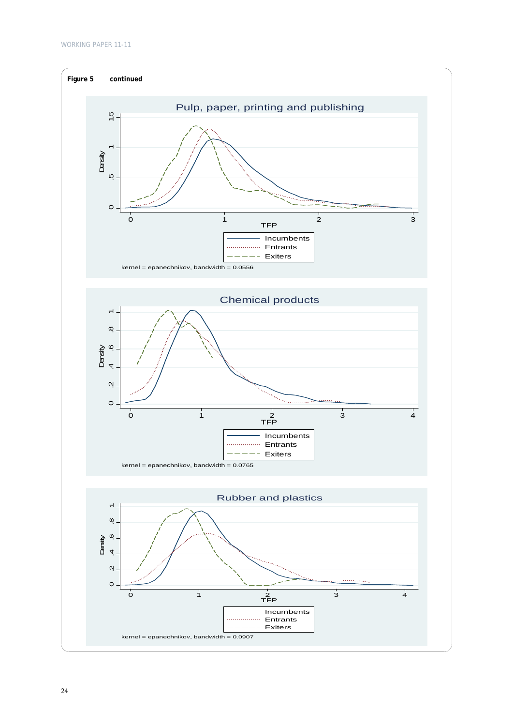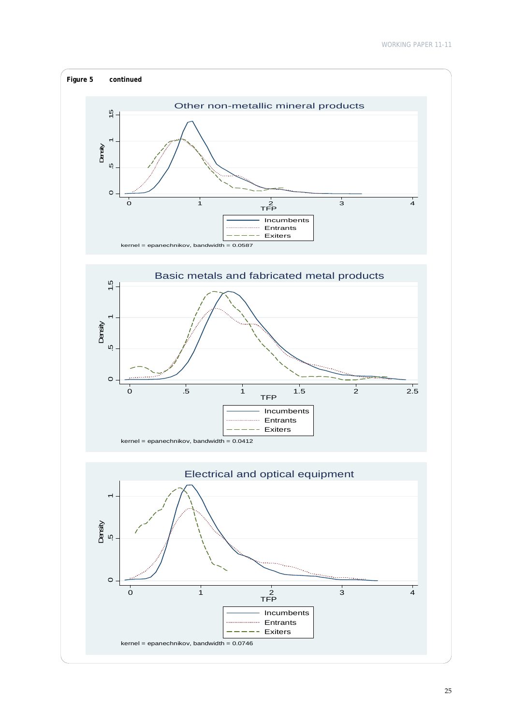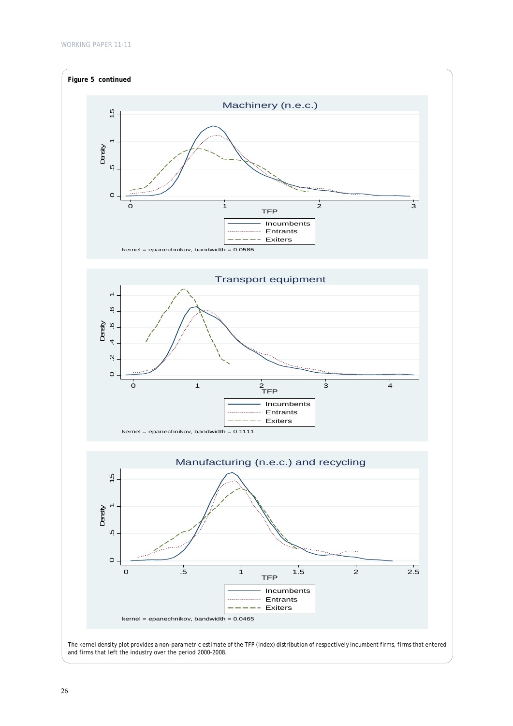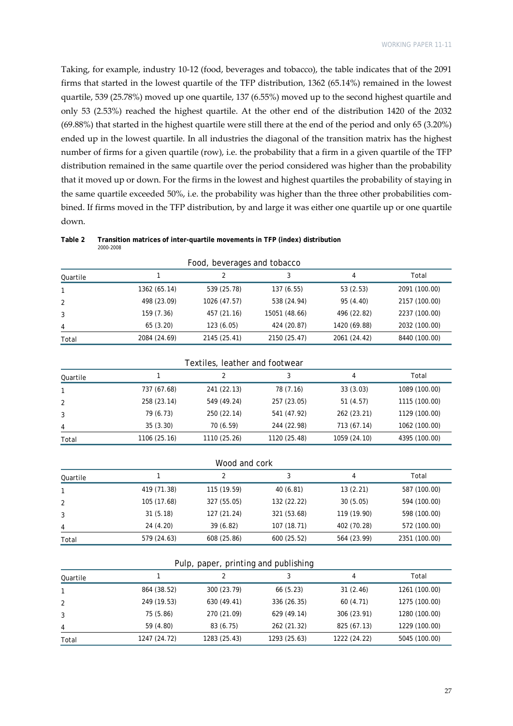Taking, for example, industry 10‐12 (food, beverages and tobacco), the table indicates that of the 2091 firms that started in the lowest quartile of the TFP distribution, 1362 (65.14%) remained in the lowest quartile, 539 (25.78%) moved up one quartile, 137 (6.55%) moved up to the second highest quartile and only 53 (2.53%) reached the highest quartile. At the other end of the distribution 1420 of the 2032 (69.88%) that started in the highest quartile were still there at the end of the period and only 65 (3.20%) ended up in the lowest quartile. In all industries the diagonal of the transition matrix has the highest number of firms for a given quartile (row), i.e. the probability that a firm in a given quartile of the TFP distribution remained in the same quartile over the period considered was higher than the probability that it moved up or down. For the firms in the lowest and highest quartiles the probability of staying in the same quartile exceeded 50%, i.e. the probability was higher than the three other probabilities combined. If firms moved in the TFP distribution, by and large it was either one quartile up or one quartile down.

| Food, beverages and tobacco |              |              |               |              |               |  |  |
|-----------------------------|--------------|--------------|---------------|--------------|---------------|--|--|
| Quartile                    |              |              |               | 4            | Total         |  |  |
|                             | 1362 (65.14) | 539 (25.78)  | 137(6.55)     | 53(2.53)     | 2091 (100.00) |  |  |
| 2                           | 498 (23.09)  | 1026 (47.57) | 538 (24.94)   | 95 (4.40)    | 2157 (100.00) |  |  |
| 3                           | 159 (7.36)   | 457 (21.16)  | 15051 (48.66) | 496 (22.82)  | 2237 (100.00) |  |  |
| 4                           | 65(3.20)     | 123(6.05)    | 424 (20.87)   | 1420 (69.88) | 2032 (100.00) |  |  |
| Total                       | 2084 (24.69) | 2145 (25.41) | 2150 (25.47)  | 2061 (24.42) | 8440 (100.00) |  |  |

| Table 2 | Transition matrices of inter-quartile movements in TFP (index) distribution |
|---------|-----------------------------------------------------------------------------|
|         | <i>2000-2008</i>                                                            |

| Textiles, leather and footwear |              |              |              |              |               |  |  |
|--------------------------------|--------------|--------------|--------------|--------------|---------------|--|--|
| Quartile                       |              | 2            |              | 4            | Total         |  |  |
|                                | 737 (67.68)  | 241 (22.13)  | 78 (7.16)    | 33(3.03)     | 1089 (100.00) |  |  |
| 2                              | 258 (23.14)  | 549 (49.24)  | 257 (23.05)  | 51(4.57)     | 1115 (100.00) |  |  |
| 3                              | 79 (6.73)    | 250 (22.14)  | 541 (47.92)  | 262 (23.21)  | 1129 (100.00) |  |  |
| 4                              | 35(3.30)     | 70 (6.59)    | 244 (22.98)  | 713 (67.14)  | 1062 (100.00) |  |  |
| Total                          | 1106 (25.16) | 1110 (25.26) | 1120 (25.48) | 1059 (24.10) | 4395 (100.00) |  |  |

| Wood and cork |             |             |             |             |               |  |
|---------------|-------------|-------------|-------------|-------------|---------------|--|
| Quartile      |             | っ           |             | 4           | Total         |  |
|               | 419 (71.38) | 115 (19.59) | 40(6.81)    | 13(2.21)    | 587 (100.00)  |  |
| 2             | 105 (17.68) | 327 (55.05) | 132 (22.22) | 30(5.05)    | 594 (100.00)  |  |
|               | 31(5.18)    | 127 (21.24) | 321 (53.68) | 119 (19.90) | 598 (100.00)  |  |
| 4             | 24 (4.20)   | 39(6.82)    | 107 (18.71) | 402 (70.28) | 572 (100.00)  |  |
| Total         | 579 (24.63) | 608 (25.86) | 600 (25.52) | 564 (23.99) | 2351 (100.00) |  |

#### Pulp, paper, printing and publishing

| Quartile |              |              |              | 4            | Total         |
|----------|--------------|--------------|--------------|--------------|---------------|
|          | 864 (38.52)  | 300 (23.79)  | 66 (5.23)    | 31(2.46)     | 1261 (100.00) |
|          | 249 (19.53)  | 630 (49.41)  | 336 (26.35)  | 60(4.71)     | 1275 (100.00) |
|          | 75 (5.86)    | 270 (21.09)  | 629 (49.14)  | 306 (23.91)  | 1280 (100.00) |
| 4        | 59 (4.80)    | 83 (6.75)    | 262 (21.32)  | 825 (67.13)  | 1229 (100.00) |
| Total    | 1247 (24.72) | 1283 (25.43) | 1293 (25.63) | 1222 (24.22) | 5045 (100.00) |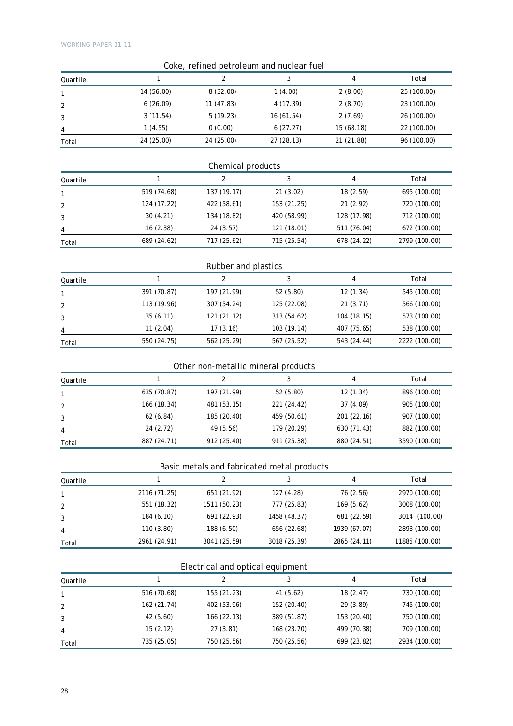|          |              | Coke, refined petroleum and nuclear fuel   |              |                |                |
|----------|--------------|--------------------------------------------|--------------|----------------|----------------|
| Quartile | 1            | 2                                          | 3            | 4              | Total          |
| 1        | 14 (56.00)   | 8 (32.00)                                  | 1(4.00)      | 2(8.00)        | 25 (100.00)    |
| 2        | 6(26.09)     | 11 (47.83)                                 | 4 (17.39)    | 2(8.70)        | 23 (100.00)    |
| 3        | 3'11.54      | 5(19.23)                                   | 16 (61.54)   | 2(7.69)        | 26 (100.00)    |
| 4        | 1(4.55)      | 0(0.00)                                    | 6(27.27)     | 15 (68.18)     | 22 (100.00)    |
| Total    | 24 (25.00)   | 24 (25.00)                                 | 27 (28.13)   | 21 (21.88)     | 96 (100.00)    |
|          |              |                                            |              |                |                |
|          |              | Chemical products                          |              |                |                |
| Quartile | $\mathbf{1}$ | $\overline{2}$                             | 3            | 4              | Total          |
| 1        | 519 (74.68)  | 137 (19.17)                                | 21(3.02)     | 18 (2.59)      | 695 (100.00)   |
| 2        | 124 (17.22)  | 422 (58.61)                                | 153 (21.25)  | 21 (2.92)      | 720 (100.00)   |
| 3        | 30 (4.21)    | 134 (18.82)                                | 420 (58.99)  | 128 (17.98)    | 712 (100.00)   |
| 4        | 16 (2.38)    | 24 (3.57)                                  | 121 (18.01)  | 511 (76.04)    | 672 (100.00)   |
| Total    | 689 (24.62)  | 717 (25.62)                                | 715 (25.54)  | 678 (24.22)    | 2799 (100.00)  |
|          |              |                                            |              |                |                |
|          |              | Rubber and plastics                        |              |                |                |
| Quartile | $\mathbf{1}$ | 2                                          | 3            | $\overline{4}$ | Total          |
| 1        | 391 (70.87)  | 197 (21.99)                                | 52 (5.80)    | 12 (1.34)      | 545 (100.00)   |
| 2        | 113 (19.96)  | 307 (54.24)                                | 125 (22.08)  | 21(3.71)       | 566 (100.00)   |
| 3        | 35 (6.11)    | 121 (21.12)                                | 313 (54.62)  | 104 (18.15)    | 573 (100.00)   |
|          | 11(2.04)     | 17 (3.16)                                  | 103 (19.14)  | 407 (75.65)    | 538 (100.00)   |
| Total    | 550 (24.75)  | 562 (25.29)                                | 567 (25.52)  | 543 (24.44)    | 2222 (100.00)  |
|          |              | Other non-metallic mineral products        |              |                |                |
|          | $\mathbf{1}$ | 2                                          | 3            | 4              | Total          |
| Quartile | 635 (70.87)  | 197 (21.99)                                | 52 (5.80)    | 12 (1.34)      | 896 (100.00)   |
| 1        | 166 (18.34)  | 481 (53.15)                                | 221 (24.42)  | 37 (4.09)      | 905 (100.00)   |
| 2        | 62 (6.84)    | 185 (20.40)                                | 459 (50.61)  | 201 (22.16)    | 907 (100.00)   |
| 3        | 24 (2.72)    | 49 (5.56)                                  | 179 (20.29)  | 630 (71.43)    | 882 (100.00)   |
| 4        | 887 (24.71)  | 912 (25.40)                                | 911 (25.38)  | 880 (24.51)    | 3590 (100.00)  |
| Total    |              |                                            |              |                |                |
|          |              | Basic metals and fabricated metal products |              |                |                |
| Quartile | $\mathbf{1}$ | $\overline{2}$                             | 3            | $\overline{4}$ | Total          |
| 1        | 2116 (71.25) | 651 (21.92)                                | 127 (4.28)   | 76 (2.56)      | 2970 (100.00)  |
| 2        | 551 (18.32)  | 1511 (50.23)                               | 777 (25.83)  | 169(5.62)      | 3008 (100.00)  |
| 3        | 184 (6.10)   | 691 (22.93)                                | 1458 (48.37) | 681 (22.59)    | 3014 (100.00)  |
| 4        | 110 (3.80)   | 188 (6.50)                                 | 656 (22.68)  | 1939 (67.07)   | 2893 (100.00)  |
| Total    | 2961 (24.91) | 3041 (25.59)                               | 3018 (25.39) | 2865 (24.11)   | 11885 (100.00) |

### Electrical and optical equipment

| Quartile |             |             |             | 4           | Total         |
|----------|-------------|-------------|-------------|-------------|---------------|
|          | 516 (70.68) | 155 (21.23) | 41(5.62)    | 18(2.47)    | 730 (100.00)  |
| 2        | 162 (21.74) | 402 (53.96) | 152 (20.40) | 29 (3.89)   | 745 (100.00)  |
|          | 42 (5.60)   | 166 (22.13) | 389 (51.87) | 153 (20.40) | 750 (100.00)  |
| 4        | 15(2.12)    | 27(3.81)    | 168 (23.70) | 499 (70.38) | 709 (100.00)  |
| Total    | 735 (25.05) | 750 (25.56) | 750 (25.56) | 699 (23.82) | 2934 (100.00) |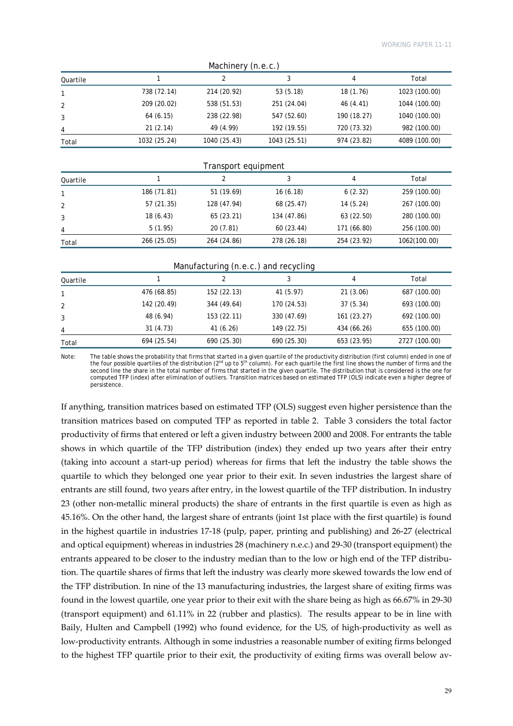| Machinery (n.e.c.) |              |              |              |             |               |  |  |
|--------------------|--------------|--------------|--------------|-------------|---------------|--|--|
| Quartile           |              |              |              | 4           | Total         |  |  |
|                    | 738 (72.14)  | 214 (20.92)  | 53(5.18)     | 18 (1.76)   | 1023 (100.00) |  |  |
| 2                  | 209 (20.02)  | 538 (51.53)  | 251 (24.04)  | 46 (4.41)   | 1044 (100.00) |  |  |
| 3                  | 64(6.15)     | 238 (22.98)  | 547 (52.60)  | 190 (18.27) | 1040 (100.00) |  |  |
| 4                  | 21(2.14)     | 49 (4.99)    | 192 (19.55)  | 720 (73.32) | 982 (100.00)  |  |  |
| Total              | 1032 (25.24) | 1040 (25.43) | 1043 (25.51) | 974 (23.82) | 4089 (100.00) |  |  |

| Transport equipment |  |  |
|---------------------|--|--|
|---------------------|--|--|

| Quartile |             |             |             | 4           | Total        |
|----------|-------------|-------------|-------------|-------------|--------------|
|          | 186 (71.81) | 51 (19.69)  | 16(6.18)    | 6(2.32)     | 259 (100.00) |
| 2        | 57 (21.35)  | 128 (47.94) | 68 (25.47)  | 14(5.24)    | 267 (100.00) |
| 3        | 18(6.43)    | 65 (23.21)  | 134 (47.86) | 63 (22.50)  | 280 (100.00) |
| 4        | 5(1.95)     | 20(7.81)    | 60(23.44)   | 171 (66.80) | 256 (100.00) |
| Total    | 266 (25.05) | 264 (24.86) | 278 (26.18) | 254 (23.92) | 1062(100.00) |

#### Manufacturing (n.e.c.) and recycling

|          |             | $\ddot{\phantom{1}}$ | $\tilde{\phantom{a}}$ |             |               |
|----------|-------------|----------------------|-----------------------|-------------|---------------|
| Quartile |             |                      |                       | 4           | Total         |
|          | 476 (68.85) | 152 (22.13)          | 41 (5.97)             | 21(3.06)    | 687 (100.00)  |
|          | 142 (20.49) | 344 (49.64)          | 170 (24.53)           | 37(5.34)    | 693 (100.00)  |
|          | 48 (6.94)   | 153 (22.11)          | 330 (47.69)           | 161(23.27)  | 692 (100.00)  |
| 4        | 31(4.73)    | 41 (6.26)            | 149 (22.75)           | 434 (66.26) | 655 (100.00)  |
| Total    | 694 (25.54) | 690 (25.30)          | 690 (25.30)           | 653 (23.95) | 2727 (100.00) |

Note: The table shows the probability that firms that started in a given quartile of the productivity distribution (first column) ended in one of the four possible quartiles of the distribution (2<sup>nd</sup> up to 5<sup>th</sup> column). For each quartile the first line shows the number of firms and the second line the share in the total number of firms that started in the given quartile. The distribution that is considered is the one for computed TFP (index) after elimination of outliers. Transition matrices based on estimated TFP (OLS) indicate even a higher degree of persistence.

If anything, transition matrices based on estimated TFP (OLS) suggest even higher persistence than the transition matrices based on computed TFP as reported in table 2. Table 3 considers the total factor productivity of firms that entered or left a given industry between 2000 and 2008. For entrants the table shows in which quartile of the TFP distribution (index) they ended up two years after their entry (taking into account a start‐up period) whereas for firms that left the industry the table shows the quartile to which they belonged one year prior to their exit. In seven industries the largest share of entrants are still found, two years after entry, in the lowest quartile of the TFP distribution. In industry 23 (other non-metallic mineral products) the share of entrants in the first quartile is even as high as 45.16%. On the other hand, the largest share of entrants (joint 1st place with the first quartile) is found in the highest quartile in industries 17‐18 (pulp, paper, printing and publishing) and 26‐27 (electrical and optical equipment) whereas in industries 28 (machinery n.e.c.) and 29‐30 (transport equipment) the entrants appeared to be closer to the industry median than to the low or high end of the TFP distribution. The quartile shares of firms that left the industry was clearly more skewed towards the low end of the TFP distribution. In nine of the 13 manufacturing industries, the largest share of exiting firms was found in the lowest quartile, one year prior to their exit with the share being as high as 66.67% in 29‐30 (transport equipment) and 61.11% in 22 (rubber and plastics). The results appear to be in line with Baily, Hulten and Campbell (1992) who found evidence, for the US, of high-productivity as well as low‐productivity entrants. Although in some industries a reasonable number of exiting firms belonged to the highest TFP quartile prior to their exit, the productivity of exiting firms was overall below av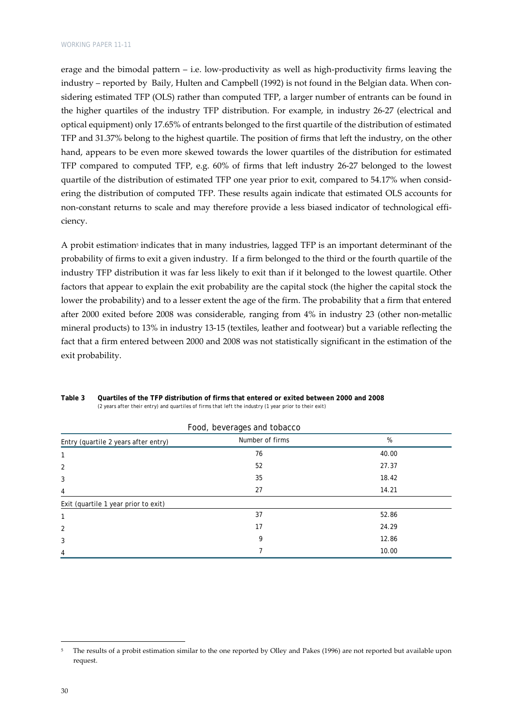erage and the bimodal pattern – i.e. low-productivity as well as high-productivity firms leaving the industry – reported by Baily, Hulten and Campbell (1992) is not found in the Belgian data. When considering estimated TFP (OLS) rather than computed TFP, a larger number of entrants can be found in the higher quartiles of the industry TFP distribution. For example, in industry 26‐27 (electrical and optical equipment) only 17.65% of entrants belonged to the first quartile of the distribution of estimated TFP and 31.37% belong to the highest quartile. The position of firms that left the industry, on the other hand, appears to be even more skewed towards the lower quartiles of the distribution for estimated TFP compared to computed TFP, e.g. 60% of firms that left industry 26‐27 belonged to the lowest quartile of the distribution of estimated TFP one year prior to exit, compared to 54.17% when considering the distribution of computed TFP. These results again indicate that estimated OLS accounts for non-constant returns to scale and may therefore provide a less biased indicator of technological efficiency.

A probit estimation<sup>5</sup> indicates that in many industries, lagged TFP is an important determinant of the probability of firms to exit a given industry. If a firm belonged to the third or the fourth quartile of the industry TFP distribution it was far less likely to exit than if it belonged to the lowest quartile. Other factors that appear to explain the exit probability are the capital stock (the higher the capital stock the lower the probability) and to a lesser extent the age of the firm. The probability that a firm that entered after 2000 exited before 2008 was considerable, ranging from 4% in industry 23 (other non-metallic mineral products) to 13% in industry 13‐15 (textiles, leather and footwear) but a variable reflecting the fact that a firm entered between 2000 and 2008 was not statistically significant in the estimation of the exit probability.

|                                      | Food, beverages and tobacco |       |
|--------------------------------------|-----------------------------|-------|
| Entry (quartile 2 years after entry) | Number of firms             | %     |
| 1                                    | 76                          | 40.00 |
| 2                                    | 52                          | 27.37 |
| 3                                    | 35                          | 18.42 |
| 4                                    | 27                          | 14.21 |
| Exit (quartile 1 year prior to exit) |                             |       |
| 1                                    | 37                          | 52.86 |
| $\overline{2}$                       | 17                          | 24.29 |
| 3                                    | 9                           | 12.86 |
| 4                                    |                             | 10.00 |

**Table 3 Quartiles of the TFP distribution of firms that entered or exited between 2000 and 2008**  *(2 years after their entry) and quartiles of firms that left the industry (1 year prior to their exit)* 

<sup>&</sup>lt;sup>5</sup> The results of a probit estimation similar to the one reported by Olley and Pakes (1996) are not reported but available upon request.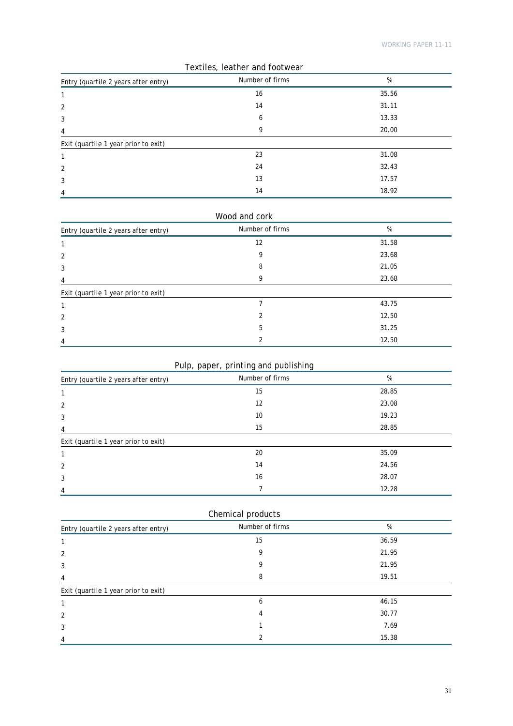| <b>TOATILOS, ICUTIOL UILU TOOTIVOUL</b> |                 |       |  |
|-----------------------------------------|-----------------|-------|--|
| Entry (quartile 2 years after entry)    | Number of firms | %     |  |
| 1                                       | 16              | 35.56 |  |
| 2                                       | 14              | 31.11 |  |
| 3                                       | 6               | 13.33 |  |
| 4                                       | 9               | 20.00 |  |
| Exit (quartile 1 year prior to exit)    |                 |       |  |
| 1                                       | 23              | 31.08 |  |
| 2                                       | 24              | 32.43 |  |
| 3                                       | 13              | 17.57 |  |
| $\overline{4}$                          | 14              | 18.92 |  |

|  |  |  | Textiles, leather and footwear |
|--|--|--|--------------------------------|
|--|--|--|--------------------------------|

| Wood and cork                        |                 |       |  |
|--------------------------------------|-----------------|-------|--|
| Entry (quartile 2 years after entry) | Number of firms | %     |  |
| 1                                    | 12              | 31.58 |  |
| 2                                    | 9               | 23.68 |  |
| 3                                    | 8               | 21.05 |  |
| 4                                    | 9               | 23.68 |  |
| Exit (quartile 1 year prior to exit) |                 |       |  |
| 1                                    |                 | 43.75 |  |
| 2                                    | 2               | 12.50 |  |
| 3                                    | 5               | 31.25 |  |
| 4                                    | 2               | 12.50 |  |

## Pulp, paper, printing and publishing

| Entry (quartile 2 years after entry) | Number of firms | %     |
|--------------------------------------|-----------------|-------|
|                                      | 15              | 28.85 |
| 2                                    | 12              | 23.08 |
| 3                                    | 10              | 19.23 |
| 4                                    | 15              | 28.85 |
| Exit (quartile 1 year prior to exit) |                 |       |
|                                      | 20              | 35.09 |
| 2                                    | 14              | 24.56 |
| 3                                    | 16              | 28.07 |
| 4                                    |                 | 12.28 |

| Chemical products                    |                 |       |  |
|--------------------------------------|-----------------|-------|--|
| Entry (quartile 2 years after entry) | Number of firms | %     |  |
|                                      | 15              | 36.59 |  |
| 2                                    | 9               | 21.95 |  |
| 3                                    |                 | 21.95 |  |
| 4                                    | 8               | 19.51 |  |
| Exit (quartile 1 year prior to exit) |                 |       |  |
|                                      | 6               | 46.15 |  |
| $\overline{2}$                       | 4               | 30.77 |  |
| 3                                    |                 | 7.69  |  |
| 4                                    |                 | 15.38 |  |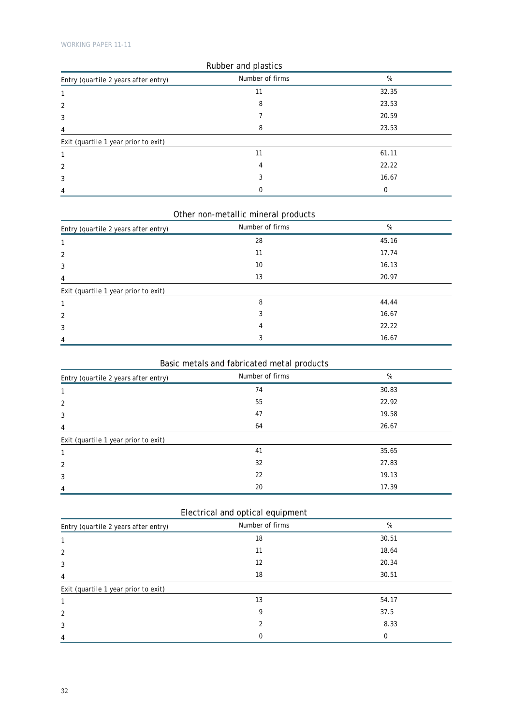| Rubber and plastics                  |                 |       |  |
|--------------------------------------|-----------------|-------|--|
| Entry (quartile 2 years after entry) | Number of firms | %     |  |
| 1                                    | 11              | 32.35 |  |
| 2                                    | 8               | 23.53 |  |
| 3                                    |                 | 20.59 |  |
| 4                                    | 8               | 23.53 |  |
| Exit (quartile 1 year prior to exit) |                 |       |  |
| 1                                    | 11              | 61.11 |  |
| 2                                    | 4               | 22.22 |  |
| 3                                    |                 | 16.67 |  |
| 4                                    | 0               | 0     |  |

## Other non-metallic mineral products

| Entry (quartile 2 years after entry) | Number of firms | %     |
|--------------------------------------|-----------------|-------|
|                                      | 28              | 45.16 |
| 2                                    | 11              | 17.74 |
| 3                                    | 10              | 16.13 |
| 4                                    | 13              | 20.97 |
| Exit (quartile 1 year prior to exit) |                 |       |
|                                      | 8               | 44.44 |
| 2                                    | 3               | 16.67 |
| 3                                    | 4               | 22.22 |
| 4                                    | 3               | 16.67 |

## Basic metals and fabricated metal products

| Entry (quartile 2 years after entry) | Number of firms | %     |
|--------------------------------------|-----------------|-------|
|                                      | 74              | 30.83 |
| 2                                    | 55              | 22.92 |
| 3                                    | 47              | 19.58 |
| 4                                    | 64              | 26.67 |
| Exit (quartile 1 year prior to exit) |                 |       |
|                                      | 41              | 35.65 |
| 2                                    | 32              | 27.83 |
| 3                                    | 22              | 19.13 |
| 4                                    | 20              | 17.39 |

### Electrical and optical equipment

| Entry (quartile 2 years after entry) | Number of firms | %        |
|--------------------------------------|-----------------|----------|
|                                      | 18              | 30.51    |
| 2                                    | 11              | 18.64    |
| 3                                    | 12              | 20.34    |
| 4                                    | 18              | 30.51    |
| Exit (quartile 1 year prior to exit) |                 |          |
| 1                                    | 13              | 54.17    |
| $\overline{2}$                       | 9               | 37.5     |
| 3                                    | $\mathfrak{p}$  | 8.33     |
| 4                                    | 0               | $\Omega$ |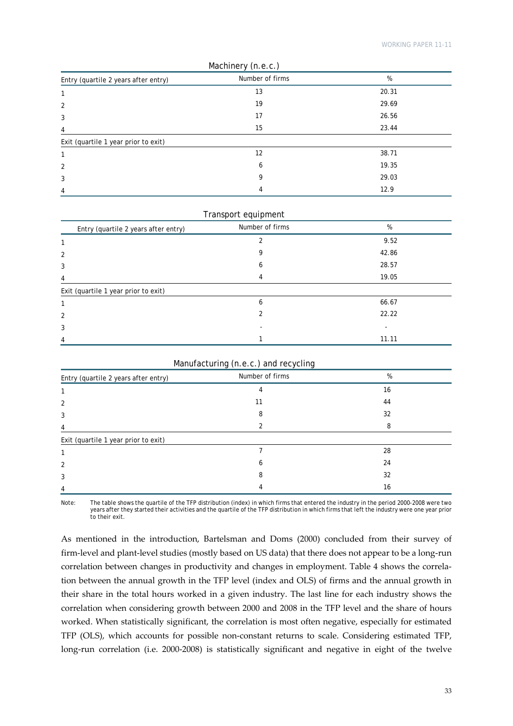| Machinery (n.e.c.)                   |                 |       |
|--------------------------------------|-----------------|-------|
| Entry (quartile 2 years after entry) | Number of firms | %     |
| 1                                    | 13              | 20.31 |
| 2                                    | 19              | 29.69 |
| 3                                    | 17              | 26.56 |
| 4                                    | 15              | 23.44 |
| Exit (quartile 1 year prior to exit) |                 |       |
| 1                                    | 12              | 38.71 |
| $\overline{2}$                       | 6               | 19.35 |
| 3                                    | 9               | 29.03 |
| 4                                    | 4               | 12.9  |

| Transport equipment                  |                 |       |  |
|--------------------------------------|-----------------|-------|--|
| Entry (quartile 2 years after entry) | Number of firms | %     |  |
| 1                                    |                 | 9.52  |  |
| 2                                    | 9               | 42.86 |  |
| 3                                    | 6               | 28.57 |  |
| $\overline{4}$                       | 4               | 19.05 |  |
| Exit (quartile 1 year prior to exit) |                 |       |  |
| 1                                    | 6               | 66.67 |  |
| $\overline{2}$                       | 2               | 22.22 |  |
| 3                                    |                 |       |  |
| 4                                    |                 | 11.11 |  |

| Entry (quartile 2 years after entry) | Number of firms | %  |
|--------------------------------------|-----------------|----|
|                                      |                 | 16 |
| $\mathfrak{D}$                       |                 | 44 |
| 3                                    | 8               | 32 |
| 4                                    |                 | 8  |
| Exit (quartile 1 year prior to exit) |                 |    |
|                                      |                 | 28 |
| 2                                    | o               | 24 |
| 3                                    | א               | 32 |
| 4                                    |                 | 16 |

Note: The table shows the quartile of the TFP distribution (index) in which firms that entered the industry in the period 2000-2008 were two years after they started their activities and the quartile of the TFP distribution in which firms that left the industry were one year prior to their exit.

As mentioned in the introduction, Bartelsman and Doms (2000) concluded from their survey of firm-level and plant-level studies (mostly based on US data) that there does not appear to be a long-run correlation between changes in productivity and changes in employment. Table 4 shows the correla‐ tion between the annual growth in the TFP level (index and OLS) of firms and the annual growth in their share in the total hours worked in a given industry. The last line for each industry shows the correlation when considering growth between 2000 and 2008 in the TFP level and the share of hours worked. When statistically significant, the correlation is most often negative, especially for estimated TFP (OLS), which accounts for possible non‐constant returns to scale. Considering estimated TFP, long-run correlation (i.e. 2000-2008) is statistically significant and negative in eight of the twelve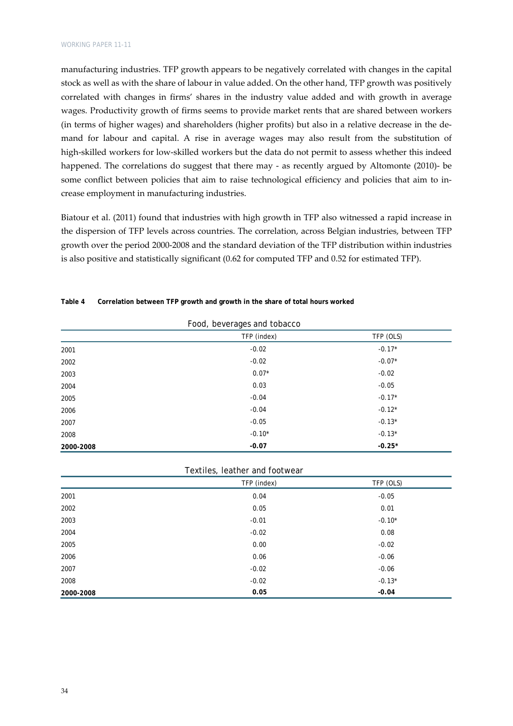manufacturing industries. TFP growth appears to be negatively correlated with changes in the capital stock as well as with the share of labour in value added. On the other hand, TFP growth was positively correlated with changes in firms' shares in the industry value added and with growth in average wages. Productivity growth of firms seems to provide market rents that are shared between workers (in terms of higher wages) and shareholders (higher profits) but also in a relative decrease in the de‐ mand for labour and capital. A rise in average wages may also result from the substitution of high-skilled workers for low-skilled workers but the data do not permit to assess whether this indeed happened. The correlations do suggest that there may - as recently argued by Altomonte (2010)- be some conflict between policies that aim to raise technological efficiency and policies that aim to increase employment in manufacturing industries.

Biatour et al. (2011) found that industries with high growth in TFP also witnessed a rapid increase in the dispersion of TFP levels across countries. The correlation, across Belgian industries, between TFP growth over the period 2000‐2008 and the standard deviation of the TFP distribution within industries is also positive and statistically significant (0.62 for computed TFP and 0.52 for estimated TFP).

| Food, beverages and tobacco |             |           |
|-----------------------------|-------------|-----------|
|                             | TFP (index) | TFP (OLS) |
| 2001                        | $-0.02$     | $-0.17*$  |
| 2002                        | $-0.02$     | $-0.07*$  |
| 2003                        | $0.07*$     | $-0.02$   |
| 2004                        | 0.03        | $-0.05$   |
| 2005                        | $-0.04$     | $-0.17*$  |
| 2006                        | $-0.04$     | $-0.12*$  |
| 2007                        | $-0.05$     | $-0.13*$  |
| 2008                        | $-0.10*$    | $-0.13*$  |
| 2000-2008                   | $-0.07$     | $-0.25*$  |

**Table 4 Correlation between TFP growth and growth in the share of total hours worked** 

|           | Textiles, leather and footwear |           |
|-----------|--------------------------------|-----------|
|           | TFP (index)                    | TFP (OLS) |
| 2001      | 0.04                           | $-0.05$   |
| 2002      | 0.05                           | 0.01      |
| 2003      | $-0.01$                        | $-0.10*$  |
| 2004      | $-0.02$                        | 0.08      |
| 2005      | 0.00                           | $-0.02$   |
| 2006      | 0.06                           | $-0.06$   |
| 2007      | $-0.02$                        | $-0.06$   |
| 2008      | $-0.02$                        | $-0.13*$  |
| 2000-2008 | 0.05                           | $-0.04$   |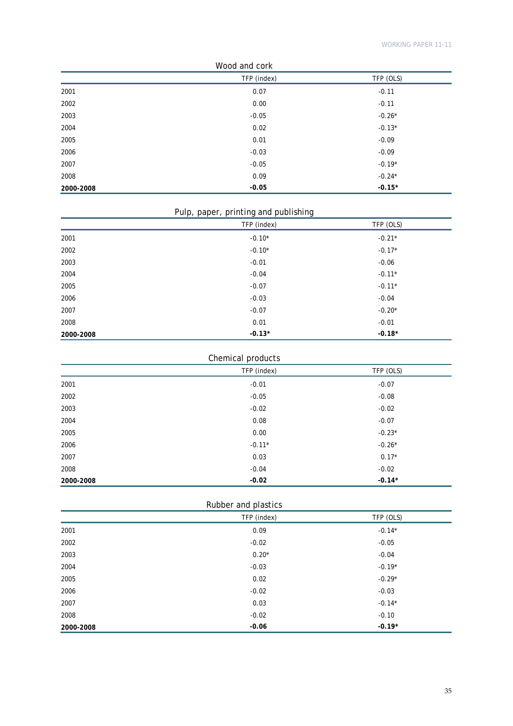| Wood and cork |             |           |
|---------------|-------------|-----------|
|               | TFP (index) | TFP (OLS) |
| 2001          | 0.07        | $-0.11$   |
| 2002          | 0.00        | $-0.11$   |
| 2003          | $-0.05$     | $-0.26*$  |
| 2004          | 0.02        | $-0.13*$  |
| 2005          | 0.01        | $-0.09$   |
| 2006          | $-0.03$     | $-0.09$   |
| 2007          | $-0.05$     | $-0.19*$  |
| 2008          | 0.09        | $-0.24*$  |
| 2000-2008     | $-0.05$     | $-0.15*$  |

## Pulp, paper, printing and publishing

|           | TFP (index) | TFP (OLS) |
|-----------|-------------|-----------|
| 2001      | $-0.10*$    | $-0.21*$  |
| 2002      | $-0.10*$    | $-0.17*$  |
| 2003      | $-0.01$     | $-0.06$   |
| 2004      | $-0.04$     | $-0.11*$  |
| 2005      | $-0.07$     | $-0.11*$  |
| 2006      | $-0.03$     | $-0.04$   |
| 2007      | $-0.07$     | $-0.20*$  |
| 2008      | 0.01        | $-0.01$   |
| 2000-2008 | $-0.13*$    | $-0.18*$  |

## Chemical products

|           | . .         |           |
|-----------|-------------|-----------|
|           | TFP (index) | TFP (OLS) |
| 2001      | $-0.01$     | $-0.07$   |
| 2002      | $-0.05$     | $-0.08$   |
| 2003      | $-0.02$     | $-0.02$   |
| 2004      | 0.08        | $-0.07$   |
| 2005      | 0.00        | $-0.23*$  |
| 2006      | $-0.11*$    | $-0.26*$  |
| 2007      | 0.03        | $0.17*$   |
| 2008      | $-0.04$     | $-0.02$   |
| 2000-2008 | $-0.02$     | $-0.14*$  |

## Rubber and plastics

|           | TFP (index) | TFP (OLS) |
|-----------|-------------|-----------|
| 2001      | 0.09        | $-0.14*$  |
| 2002      | $-0.02$     | $-0.05$   |
| 2003      | $0.20*$     | $-0.04$   |
| 2004      | $-0.03$     | $-0.19*$  |
| 2005      | 0.02        | $-0.29*$  |
| 2006      | $-0.02$     | $-0.03$   |
| 2007      | 0.03        | $-0.14*$  |
| 2008      | $-0.02$     | $-0.10$   |
| 2000-2008 | $-0.06$     | $-0.19*$  |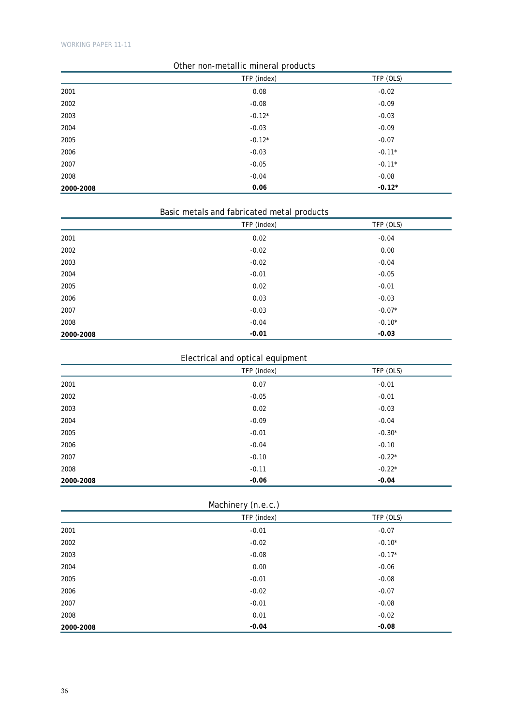| Other non-metallic mineral products |             |           |
|-------------------------------------|-------------|-----------|
|                                     | TFP (index) | TFP (OLS) |
| 2001                                | 0.08        | $-0.02$   |
| 2002                                | $-0.08$     | $-0.09$   |
| 2003                                | $-0.12*$    | $-0.03$   |
| 2004                                | $-0.03$     | $-0.09$   |
| 2005                                | $-0.12*$    | $-0.07$   |
| 2006                                | $-0.03$     | $-0.11*$  |
| 2007                                | $-0.05$     | $-0.11*$  |
| 2008                                | $-0.04$     | $-0.08$   |
| 2000-2008                           | 0.06        | $-0.12*$  |

## Basic metals and fabricated metal products

|           | TFP (index) |          |
|-----------|-------------|----------|
| 2001      | 0.02        | $-0.04$  |
| 2002      | $-0.02$     | 0.00     |
| 2003      | $-0.02$     | $-0.04$  |
| 2004      | $-0.01$     | $-0.05$  |
| 2005      | 0.02        | $-0.01$  |
| 2006      | 0.03        | $-0.03$  |
| 2007      | $-0.03$     | $-0.07*$ |
| 2008      | $-0.04$     | $-0.10*$ |
| 2000-2008 | $-0.01$     | $-0.03$  |

## Electrical and optical equipment

|           | TFP (index) | TFP (OLS) |
|-----------|-------------|-----------|
| 2001      | 0.07        | $-0.01$   |
| 2002      | $-0.05$     | $-0.01$   |
| 2003      | 0.02        | $-0.03$   |
| 2004      | $-0.09$     | $-0.04$   |
| 2005      | $-0.01$     | $-0.30*$  |
| 2006      | $-0.04$     | $-0.10$   |
| 2007      | $-0.10$     | $-0.22*$  |
| 2008      | $-0.11$     | $-0.22*$  |
| 2000-2008 | $-0.06$     | $-0.04$   |

Machinery (n.e.c.)

|           | $\sim$ $\sim$<br>$\overline{\phantom{a}}$<br>TFP (index) | TFP (OLS) |
|-----------|----------------------------------------------------------|-----------|
| 2001      | $-0.01$                                                  | $-0.07$   |
| 2002      | $-0.02$                                                  | $-0.10*$  |
| 2003      | $-0.08$                                                  | $-0.17*$  |
| 2004      | 0.00                                                     | $-0.06$   |
| 2005      | $-0.01$                                                  | $-0.08$   |
| 2006      | $-0.02$                                                  | $-0.07$   |
| 2007      | $-0.01$                                                  | $-0.08$   |
| 2008      | 0.01                                                     | $-0.02$   |
| 2000-2008 | $-0.04$                                                  | $-0.08$   |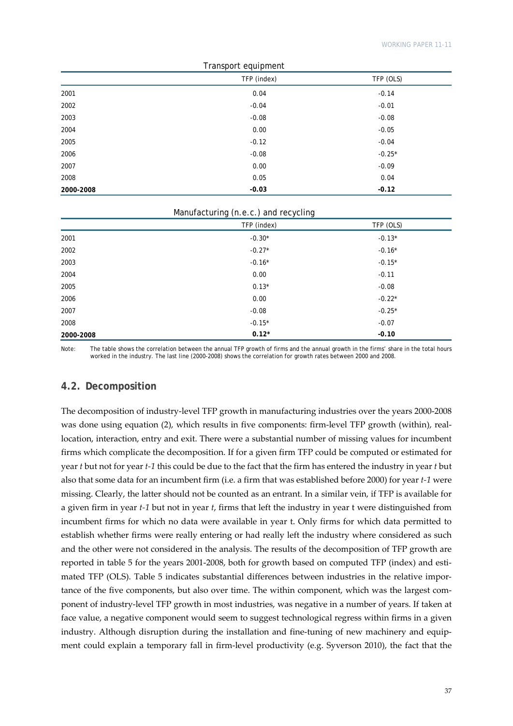| Transport equipment |             |           |  |  |  |
|---------------------|-------------|-----------|--|--|--|
|                     | TFP (index) | TFP (OLS) |  |  |  |
| 2001                | 0.04        | $-0.14$   |  |  |  |
| 2002                | $-0.04$     | $-0.01$   |  |  |  |
| 2003                | $-0.08$     | $-0.08$   |  |  |  |
| 2004                | 0.00        | $-0.05$   |  |  |  |
| 2005                | $-0.12$     | $-0.04$   |  |  |  |
| 2006                | $-0.08$     | $-0.25*$  |  |  |  |
| 2007                | 0.00        | $-0.09$   |  |  |  |
| 2008                | 0.05        | 0.04      |  |  |  |
| 2000-2008           | $-0.03$     | $-0.12$   |  |  |  |

#### Manufacturing (n.e.c.) and recycling

|           | TFP (index) | TFP (OLS) |
|-----------|-------------|-----------|
| 2001      | $-0.30*$    | $-0.13*$  |
| 2002      | $-0.27*$    | $-0.16*$  |
| 2003      | $-0.16*$    | $-0.15*$  |
| 2004      | 0.00        | $-0.11$   |
| 2005      | $0.13*$     | $-0.08$   |
| 2006      | 0.00        | $-0.22*$  |
| 2007      | $-0.08$     | $-0.25*$  |
| 2008      | $-0.15*$    | $-0.07$   |
| 2000-2008 | $0.12*$     | $-0.10$   |

Note: The table shows the correlation between the annual TFP growth of firms and the annual growth in the firms' share in the total hours worked in the industry. The last line (2000-2008) shows the correlation for growth rates between 2000 and 2008.

#### **4.2. Decomposition**

The decomposition of industry‐level TFP growth in manufacturing industries over the years 2000‐2008 was done using equation (2), which results in five components: firm-level TFP growth (within), reallocation, interaction, entry and exit. There were a substantial number of missing values for incumbent firms which complicate the decomposition. If for a given firm TFP could be computed or estimated for year *t* but not for year *t‐1* this could be due to the fact that the firm has entered the industry in year *t* but also that some data for an incumbent firm (i.e. a firm that was established before 2000) for year *t‐1* were missing. Clearly, the latter should not be counted as an entrant. In a similar vein, if TFP is available for a given firm in year *t‐1* but not in year *t*, firms that left the industry in year t were distinguished from incumbent firms for which no data were available in year t. Only firms for which data permitted to establish whether firms were really entering or had really left the industry where considered as such and the other were not considered in the analysis. The results of the decomposition of TFP growth are reported in table 5 for the years 2001-2008, both for growth based on computed TFP (index) and estimated TFP (OLS). Table 5 indicates substantial differences between industries in the relative importance of the five components, but also over time. The within component, which was the largest component of industry‐level TFP growth in most industries, was negative in a number of years. If taken at face value, a negative component would seem to suggest technological regress within firms in a given industry. Although disruption during the installation and fine-tuning of new machinery and equipment could explain a temporary fall in firm-level productivity (e.g. Syverson 2010), the fact that the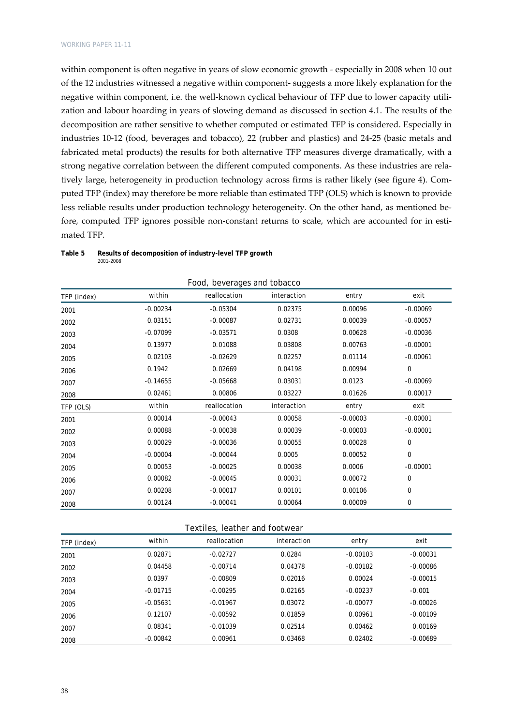within component is often negative in years of slow economic growth ‐ especially in 2008 when 10 out of the 12 industries witnessed a negative within component‐ suggests a more likely explanation for the negative within component, i.e. the well-known cyclical behaviour of TFP due to lower capacity utilization and labour hoarding in years of slowing demand as discussed in section 4.1. The results of the decomposition are rather sensitive to whether computed or estimated TFP is considered. Especially in industries 10‐12 (food, beverages and tobacco), 22 (rubber and plastics) and 24‐25 (basic metals and fabricated metal products) the results for both alternative TFP measures diverge dramatically, with a strong negative correlation between the different computed components. As these industries are relatively large, heterogeneity in production technology across firms is rather likely (see figure 4). Computed TFP (index) may therefore be more reliable than estimated TFP (OLS) which is known to provide less reliable results under production technology heterogeneity. On the other hand, as mentioned before, computed TFP ignores possible non-constant returns to scale, which are accounted for in estimated TFP.

**Table 5 Results of decomposition of industry-level TFP growth**  *2001-2008* 

|             |            | TUOU, DUVUTAYUS AHU TUDACCO |             |            |             |
|-------------|------------|-----------------------------|-------------|------------|-------------|
| TFP (index) | within     | reallocation                | interaction | entry      | exit        |
| 2001        | $-0.00234$ | $-0.05304$                  | 0.02375     | 0.00096    | $-0.00069$  |
| 2002        | 0.03151    | $-0.00087$                  | 0.02731     | 0.00039    | $-0.00057$  |
| 2003        | $-0.07099$ | $-0.03571$                  | 0.0308      | 0.00628    | $-0.00036$  |
| 2004        | 0.13977    | 0.01088                     | 0.03808     | 0.00763    | $-0.00001$  |
| 2005        | 0.02103    | $-0.02629$                  | 0.02257     | 0.01114    | $-0.00061$  |
| 2006        | 0.1942     | 0.02669                     | 0.04198     | 0.00994    | 0           |
| 2007        | $-0.14655$ | $-0.05668$                  | 0.03031     | 0.0123     | $-0.00069$  |
| 2008        | 0.02461    | 0.00806                     | 0.03227     | 0.01626    | 0.00017     |
| TFP (OLS)   | within     | reallocation                | interaction | entry      | exit        |
| 2001        | 0.00014    | $-0.00043$                  | 0.00058     | $-0.00003$ | $-0.00001$  |
| 2002        | 0.00088    | $-0.00038$                  | 0.00039     | $-0.00003$ | $-0.00001$  |
| 2003        | 0.00029    | $-0.00036$                  | 0.00055     | 0.00028    | $\mathbf 0$ |
| 2004        | $-0.00004$ | $-0.00044$                  | 0.0005      | 0.00052    | $\mathbf 0$ |
| 2005        | 0.00053    | $-0.00025$                  | 0.00038     | 0.0006     | $-0.00001$  |
| 2006        | 0.00082    | $-0.00045$                  | 0.00031     | 0.00072    | $\mathbf 0$ |
| 2007        | 0.00208    | $-0.00017$                  | 0.00101     | 0.00106    | 0           |
| 2008        | 0.00124    | $-0.00041$                  | 0.00064     | 0.00009    | $\mathbf 0$ |

Food, beverages and tobacco

| TFP (index) | within     | reallocation | interaction | entry      | exit       |  |
|-------------|------------|--------------|-------------|------------|------------|--|
| 2001        | 0.02871    | $-0.02727$   | 0.0284      | $-0.00103$ | $-0.00031$ |  |
| 2002        | 0.04458    | $-0.00714$   | 0.04378     | $-0.00182$ | $-0.00086$ |  |
| 2003        | 0.0397     | $-0.00809$   | 0.02016     | 0.00024    | $-0.00015$ |  |
| 2004        | $-0.01715$ | $-0.00295$   | 0.02165     | $-0.00237$ | $-0.001$   |  |
| 2005        | $-0.05631$ | $-0.01967$   | 0.03072     | $-0.00077$ | $-0.00026$ |  |
| 2006        | 0.12107    | $-0.00592$   | 0.01859     | 0.00961    | $-0.00109$ |  |
| 2007        | 0.08341    | $-0.01039$   | 0.02514     | 0.00462    | 0.00169    |  |
| 2008        | $-0.00842$ | 0.00961      | 0.03468     | 0.02402    | $-0.00689$ |  |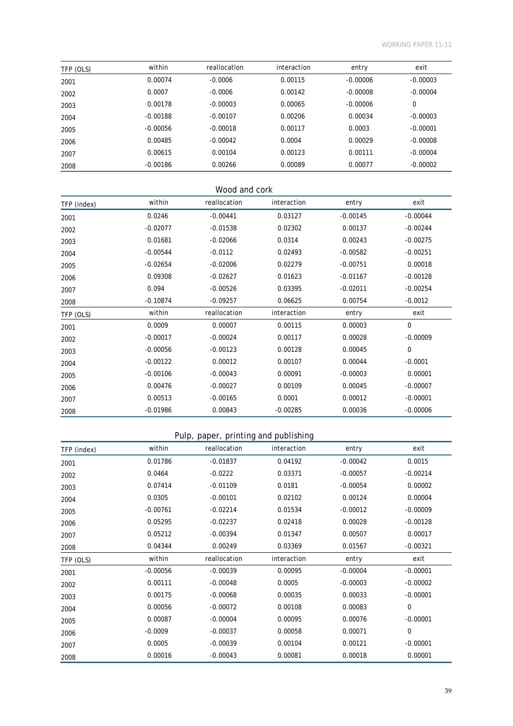| TFP (OLS) | within     | reallocation | interaction | entry      | exit       |
|-----------|------------|--------------|-------------|------------|------------|
| 2001      | 0.00074    | $-0.0006$    | 0.00115     | $-0.00006$ | $-0.00003$ |
| 2002      | 0.0007     | $-0.0006$    | 0.00142     | $-0.00008$ | $-0.00004$ |
| 2003      | 0.00178    | $-0.00003$   | 0.00065     | $-0.00006$ | 0          |
| 2004      | $-0.00188$ | $-0.00107$   | 0.00206     | 0.00034    | $-0.00003$ |
| 2005      | $-0.00056$ | $-0.00018$   | 0.00117     | 0.0003     | $-0.00001$ |
| 2006      | 0.00485    | $-0.00042$   | 0.0004      | 0.00029    | $-0.00008$ |
| 2007      | 0.00615    | 0.00104      | 0.00123     | 0.00111    | $-0.00004$ |
| 2008      | $-0.00186$ | 0.00266      | 0.00089     | 0.00077    | $-0.00002$ |

## Wood and cork

| TFP (index) | within     | reallocation | interaction | entry      | exit        |
|-------------|------------|--------------|-------------|------------|-------------|
| 2001        | 0.0246     | $-0.00441$   | 0.03127     | $-0.00145$ | $-0.00044$  |
| 2002        | $-0.02077$ | $-0.01538$   | 0.02302     | 0.00137    | $-0.00244$  |
| 2003        | 0.01681    | $-0.02066$   | 0.0314      | 0.00243    | $-0.00275$  |
| 2004        | $-0.00544$ | $-0.0112$    | 0.02493     | $-0.00582$ | $-0.00251$  |
| 2005        | $-0.02654$ | $-0.02006$   | 0.02279     | $-0.00751$ | 0.00018     |
| 2006        | 0.09308    | $-0.02627$   | 0.01623     | $-0.01167$ | $-0.00128$  |
| 2007        | 0.094      | $-0.00526$   | 0.03395     | $-0.02011$ | $-0.00254$  |
| 2008        | $-0.10874$ | $-0.09257$   | 0.06625     | 0.00754    | $-0.0012$   |
| TFP (OLS)   | within     | reallocation | interaction | entry      | exit        |
| 2001        | 0.0009     | 0.00007      | 0.00115     | 0.00003    | $\mathbf 0$ |
| 2002        | $-0.00017$ | $-0.00024$   | 0.00117     | 0.00028    | $-0.00009$  |
| 2003        | $-0.00056$ | $-0.00123$   | 0.00128     | 0.00045    | $\mathbf 0$ |
| 2004        | $-0.00122$ | 0.00012      | 0.00107     | 0.00044    | $-0.0001$   |
| 2005        | $-0.00106$ | $-0.00043$   | 0.00091     | $-0.00003$ | 0.00001     |
| 2006        | 0.00476    | $-0.00027$   | 0.00109     | 0.00045    | $-0.00007$  |
| 2007        | 0.00513    | $-0.00165$   | 0.0001      | 0.00012    | $-0.00001$  |
| 2008        | $-0.01986$ | 0.00843      | $-0.00285$  | 0.00036    | $-0.00006$  |

## Pulp, paper, printing and publishing

| TFP (index) | within     | reallocation | interaction | entry      | exit        |
|-------------|------------|--------------|-------------|------------|-------------|
| 2001        | 0.01786    | $-0.01837$   | 0.04192     | $-0.00042$ | 0.0015      |
| 2002        | 0.0464     | $-0.0222$    | 0.03371     | $-0.00057$ | $-0.00214$  |
| 2003        | 0.07414    | $-0.01109$   | 0.0181      | $-0.00054$ | 0.00002     |
| 2004        | 0.0305     | $-0.00101$   | 0.02102     | 0.00124    | 0.00004     |
| 2005        | $-0.00761$ | $-0.02214$   | 0.01534     | $-0.00012$ | $-0.00009$  |
| 2006        | 0.05295    | $-0.02237$   | 0.02418     | 0.00028    | $-0.00128$  |
| 2007        | 0.05212    | $-0.00394$   | 0.01347     | 0.00507    | 0.00017     |
| 2008        | 0.04344    | 0.00249      | 0.03369     | 0.01567    | $-0.00321$  |
| TFP (OLS)   | within     | reallocation | interaction | entry      | exit        |
| 2001        | $-0.00056$ | $-0.00039$   | 0.00095     | $-0.00004$ | $-0.00001$  |
| 2002        | 0.00111    | $-0.00048$   | 0.0005      | $-0.00003$ | $-0.00002$  |
| 2003        | 0.00175    | $-0.00068$   | 0.00035     | 0.00033    | $-0.00001$  |
| 2004        | 0.00056    | $-0.00072$   | 0.00108     | 0.00083    | $\mathbf 0$ |
| 2005        | 0.00087    | $-0.00004$   | 0.00095     | 0.00076    | $-0.00001$  |
| 2006        | $-0.0009$  | $-0.00037$   | 0.00058     | 0.00071    | $\mathbf 0$ |
| 2007        | 0.0005     | $-0.00039$   | 0.00104     | 0.00121    | $-0.00001$  |
| 2008        | 0.00016    | $-0.00043$   | 0.00081     | 0.00018    | 0.00001     |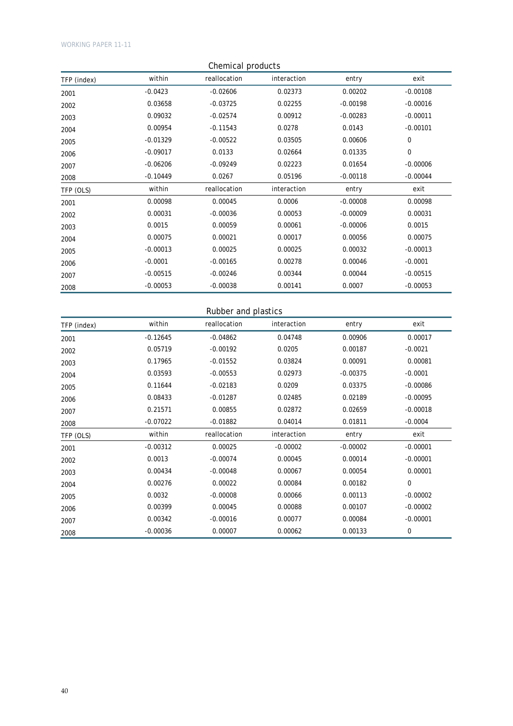| Chemical products |            |              |             |            |            |  |
|-------------------|------------|--------------|-------------|------------|------------|--|
| TFP (index)       | within     | reallocation | interaction | entry      | exit       |  |
| 2001              | $-0.0423$  | $-0.02606$   | 0.02373     | 0.00202    | $-0.00108$ |  |
| 2002              | 0.03658    | $-0.03725$   | 0.02255     | $-0.00198$ | $-0.00016$ |  |
| 2003              | 0.09032    | $-0.02574$   | 0.00912     | $-0.00283$ | $-0.00011$ |  |
| 2004              | 0.00954    | $-0.11543$   | 0.0278      | 0.0143     | $-0.00101$ |  |
| 2005              | $-0.01329$ | $-0.00522$   | 0.03505     | 0.00606    | 0          |  |
| 2006              | $-0.09017$ | 0.0133       | 0.02664     | 0.01335    | 0          |  |
| 2007              | $-0.06206$ | $-0.09249$   | 0.02223     | 0.01654    | $-0.00006$ |  |
| 2008              | $-0.10449$ | 0.0267       | 0.05196     | $-0.00118$ | $-0.00044$ |  |
| TFP (OLS)         | within     | reallocation | interaction | entry      | exit       |  |
| 2001              | 0.00098    | 0.00045      | 0.0006      | $-0.00008$ | 0.00098    |  |
| 2002              | 0.00031    | $-0.00036$   | 0.00053     | $-0.00009$ | 0.00031    |  |
| 2003              | 0.0015     | 0.00059      | 0.00061     | $-0.00006$ | 0.0015     |  |
| 2004              | 0.00075    | 0.00021      | 0.00017     | 0.00056    | 0.00075    |  |
| 2005              | $-0.00013$ | 0.00025      | 0.00025     | 0.00032    | $-0.00013$ |  |
| 2006              | $-0.0001$  | $-0.00165$   | 0.00278     | 0.00046    | $-0.0001$  |  |
| 2007              | $-0.00515$ | $-0.00246$   | 0.00344     | 0.00044    | $-0.00515$ |  |
| 2008              | $-0.00053$ | $-0.00038$   | 0.00141     | 0.0007     | $-0.00053$ |  |

## Rubber and plastics

| TFP (index) | within     | reallocation | interaction | entry      | exit        |
|-------------|------------|--------------|-------------|------------|-------------|
| 2001        | $-0.12645$ | $-0.04862$   | 0.04748     | 0.00906    | 0.00017     |
| 2002        | 0.05719    | $-0.00192$   | 0.0205      | 0.00187    | $-0.0021$   |
| 2003        | 0.17965    | $-0.01552$   | 0.03824     | 0.00091    | 0.00081     |
| 2004        | 0.03593    | $-0.00553$   | 0.02973     | $-0.00375$ | $-0.0001$   |
| 2005        | 0.11644    | $-0.02183$   | 0.0209      | 0.03375    | $-0.00086$  |
| 2006        | 0.08433    | $-0.01287$   | 0.02485     | 0.02189    | $-0.00095$  |
| 2007        | 0.21571    | 0.00855      | 0.02872     | 0.02659    | $-0.00018$  |
| 2008        | $-0.07022$ | $-0.01882$   | 0.04014     | 0.01811    | $-0.0004$   |
| TFP (OLS)   | within     | reallocation | interaction | entry      | exit        |
| 2001        | $-0.00312$ | 0.00025      | $-0.00002$  | $-0.00002$ | $-0.00001$  |
| 2002        | 0.0013     | $-0.00074$   | 0.00045     | 0.00014    | $-0.00001$  |
| 2003        | 0.00434    | $-0.00048$   | 0.00067     | 0.00054    | 0.00001     |
| 2004        | 0.00276    | 0.00022      | 0.00084     | 0.00182    | $\mathbf 0$ |
| 2005        | 0.0032     | $-0.00008$   | 0.00066     | 0.00113    | $-0.00002$  |
| 2006        | 0.00399    | 0.00045      | 0.00088     | 0.00107    | $-0.00002$  |
| 2007        | 0.00342    | $-0.00016$   | 0.00077     | 0.00084    | $-0.00001$  |
| 2008        | $-0.00036$ | 0.00007      | 0.00062     | 0.00133    | $\mathbf 0$ |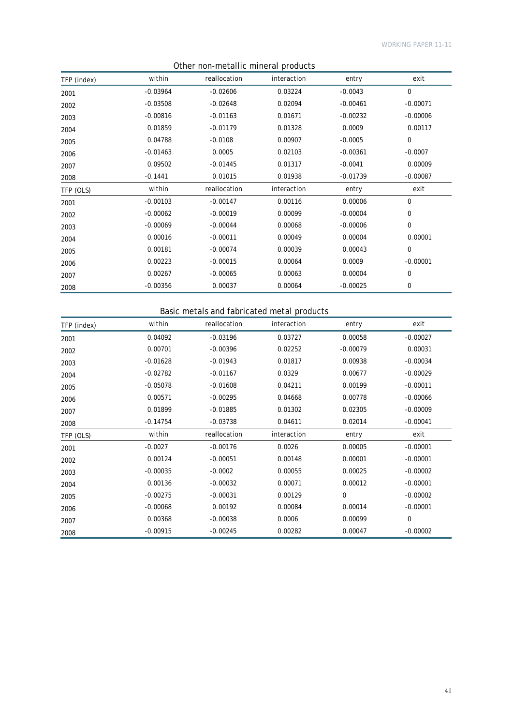| <u>Utiler Holf-Hietamic Hillieral products</u> |            |              |             |            |             |  |
|------------------------------------------------|------------|--------------|-------------|------------|-------------|--|
| TFP (index)                                    | within     | reallocation | interaction | entry      | exit        |  |
| 2001                                           | $-0.03964$ | $-0.02606$   | 0.03224     | $-0.0043$  | $\mathbf 0$ |  |
| 2002                                           | $-0.03508$ | $-0.02648$   | 0.02094     | $-0.00461$ | $-0.00071$  |  |
| 2003                                           | $-0.00816$ | $-0.01163$   | 0.01671     | $-0.00232$ | $-0.00006$  |  |
| 2004                                           | 0.01859    | $-0.01179$   | 0.01328     | 0.0009     | 0.00117     |  |
| 2005                                           | 0.04788    | $-0.0108$    | 0.00907     | $-0.0005$  | 0           |  |
| 2006                                           | $-0.01463$ | 0.0005       | 0.02103     | $-0.00361$ | $-0.0007$   |  |
| 2007                                           | 0.09502    | $-0.01445$   | 0.01317     | $-0.0041$  | 0.00009     |  |
| 2008                                           | $-0.1441$  | 0.01015      | 0.01938     | $-0.01739$ | $-0.00087$  |  |
| TFP (OLS)                                      | within     | reallocation | interaction | entry      | exit        |  |
| 2001                                           | $-0.00103$ | $-0.00147$   | 0.00116     | 0.00006    | 0           |  |
| 2002                                           | $-0.00062$ | $-0.00019$   | 0.00099     | $-0.00004$ | $\mathbf 0$ |  |
| 2003                                           | $-0.00069$ | $-0.00044$   | 0.00068     | $-0.00006$ | $\mathbf 0$ |  |
| 2004                                           | 0.00016    | $-0.00011$   | 0.00049     | 0.00004    | 0.00001     |  |
| 2005                                           | 0.00181    | $-0.00074$   | 0.00039     | 0.00043    | $\mathbf 0$ |  |
| 2006                                           | 0.00223    | $-0.00015$   | 0.00064     | 0.0009     | $-0.00001$  |  |
| 2007                                           | 0.00267    | $-0.00065$   | 0.00063     | 0.00004    | $\mathbf 0$ |  |
| 2008                                           | $-0.00356$ | 0.00037      | 0.00064     | $-0.00025$ | 0           |  |

## Other non-metallic mineral products

## Basic metals and fabricated metal products

| TFP (index) | within     | reallocation | interaction | entry       | exit       |
|-------------|------------|--------------|-------------|-------------|------------|
| 2001        | 0.04092    | $-0.03196$   | 0.03727     | 0.00058     | $-0.00027$ |
| 2002        | 0.00701    | $-0.00396$   | 0.02252     | $-0.00079$  | 0.00031    |
| 2003        | $-0.01628$ | $-0.01943$   | 0.01817     | 0.00938     | $-0.00034$ |
| 2004        | $-0.02782$ | $-0.01167$   | 0.0329      | 0.00677     | $-0.00029$ |
| 2005        | $-0.05078$ | $-0.01608$   | 0.04211     | 0.00199     | $-0.00011$ |
| 2006        | 0.00571    | $-0.00295$   | 0.04668     | 0.00778     | $-0.00066$ |
| 2007        | 0.01899    | $-0.01885$   | 0.01302     | 0.02305     | $-0.00009$ |
| 2008        | $-0.14754$ | $-0.03738$   | 0.04611     | 0.02014     | $-0.00041$ |
| TFP (OLS)   | within     | reallocation | interaction | entry       | exit       |
| 2001        | $-0.0027$  | $-0.00176$   | 0.0026      | 0.00005     | $-0.00001$ |
| 2002        | 0.00124    | $-0.00051$   | 0.00148     | 0.00001     | $-0.00001$ |
| 2003        | $-0.00035$ | $-0.0002$    | 0.00055     | 0.00025     | $-0.00002$ |
| 2004        | 0.00136    | $-0.00032$   | 0.00071     | 0.00012     | $-0.00001$ |
| 2005        | $-0.00275$ | $-0.00031$   | 0.00129     | $\mathbf 0$ | $-0.00002$ |
| 2006        | $-0.00068$ | 0.00192      | 0.00084     | 0.00014     | $-0.00001$ |
| 2007        | 0.00368    | $-0.00038$   | 0.0006      | 0.00099     | 0          |
| 2008        | $-0.00915$ | $-0.00245$   | 0.00282     | 0.00047     | $-0.00002$ |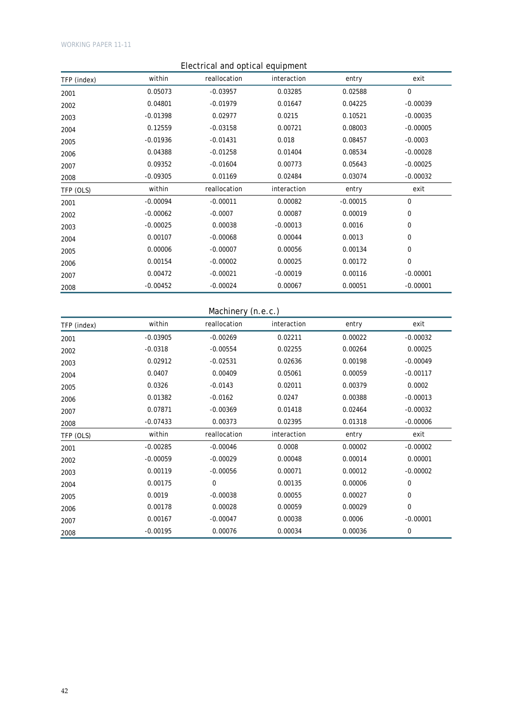## Electrical and optical equipment TFP (index) within reallocation interaction entry exit 2001 0.05073 -0.03957 0.03285 0.02588 0 2002 0.04801 -0.01979 0.01647 0.04225 -0.00039 2003 -0.01398 0.02977 0.0215 0.10521 -0.00035 2004 0.12559 -0.03158 0.00721 0.08003 -0.00005 2005 -0.01936 -0.01431 0.018 0.08457 -0.0003 2006 0.04388 -0.01258 0.01404 0.08534 -0.00028 2007 0.09352 -0.01604 0.00773 0.05643 -0.00025 2008 -0.09305 0.01169 0.02484 0.03074 -0.00032 TFP (OLS) within reallocation interaction entry exit 2001 -0.00094 -0.00011 0.00082 -0.00015 0.00015 2002 -0.00062 -0.0007 0.00087 0.00019 0 2003 -0.00025 0.00038 -0.00013 0.0016 0 2004 0.00107 -0.00068 0.00044 0.0013 0 2005 0.00006 -0.00007 0.00056 0.00134 0 2006 0.00154 -0.00002 0.00025 0.00172 0 2007 0.00472 -0.00021 -0.00019 0.00116 -0.00001 2008 -0.00452 -0.00024 0.00067 0.00051 -0.00001

#### Machinery (n.e.c.)

| TFP (index) | within     | reallocation | interaction | entry   | exit        |
|-------------|------------|--------------|-------------|---------|-------------|
| 2001        | $-0.03905$ | $-0.00269$   | 0.02211     | 0.00022 | $-0.00032$  |
| 2002        | $-0.0318$  | $-0.00554$   | 0.02255     | 0.00264 | 0.00025     |
| 2003        | 0.02912    | $-0.02531$   | 0.02636     | 0.00198 | $-0.00049$  |
| 2004        | 0.0407     | 0.00409      | 0.05061     | 0.00059 | $-0.00117$  |
| 2005        | 0.0326     | $-0.0143$    | 0.02011     | 0.00379 | 0.0002      |
| 2006        | 0.01382    | $-0.0162$    | 0.0247      | 0.00388 | $-0.00013$  |
| 2007        | 0.07871    | $-0.00369$   | 0.01418     | 0.02464 | $-0.00032$  |
| 2008        | $-0.07433$ | 0.00373      | 0.02395     | 0.01318 | $-0.00006$  |
| TFP (OLS)   | within     | reallocation | interaction | entry   | exit        |
| 2001        | $-0.00285$ | $-0.00046$   | 0.0008      | 0.00002 | $-0.00002$  |
| 2002        | $-0.00059$ | $-0.00029$   | 0.00048     | 0.00014 | 0.00001     |
| 2003        | 0.00119    | $-0.00056$   | 0.00071     | 0.00012 | $-0.00002$  |
| 2004        | 0.00175    | $\mathbf 0$  | 0.00135     | 0.00006 | $\mathbf 0$ |
| 2005        | 0.0019     | $-0.00038$   | 0.00055     | 0.00027 | $\mathbf 0$ |
| 2006        | 0.00178    | 0.00028      | 0.00059     | 0.00029 | $\mathbf 0$ |
| 2007        | 0.00167    | $-0.00047$   | 0.00038     | 0.0006  | $-0.00001$  |
| 2008        | $-0.00195$ | 0.00076      | 0.00034     | 0.00036 | $\mathbf 0$ |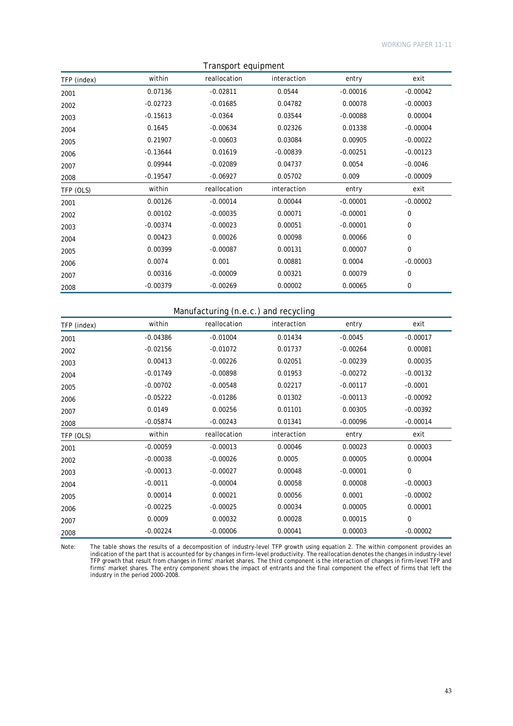| Transport equipment |            |              |             |            |             |  |
|---------------------|------------|--------------|-------------|------------|-------------|--|
| TFP (index)         | within     | reallocation | interaction | entry      | exit        |  |
| 2001                | 0.07136    | $-0.02811$   | 0.0544      | $-0.00016$ | $-0.00042$  |  |
| 2002                | $-0.02723$ | $-0.01685$   | 0.04782     | 0.00078    | $-0.00003$  |  |
| 2003                | $-0.15613$ | $-0.0364$    | 0.03544     | $-0.00088$ | 0.00004     |  |
| 2004                | 0.1645     | $-0.00634$   | 0.02326     | 0.01338    | $-0.00004$  |  |
| 2005                | 0.21907    | $-0.00603$   | 0.03084     | 0.00905    | $-0.00022$  |  |
| 2006                | $-0.13644$ | 0.01619      | $-0.00839$  | $-0.00251$ | $-0.00123$  |  |
| 2007                | 0.09944    | $-0.02089$   | 0.04737     | 0.0054     | $-0.0046$   |  |
| 2008                | $-0.19547$ | $-0.06927$   | 0.05702     | 0.009      | $-0.00009$  |  |
| TFP (OLS)           | within     | reallocation | interaction | entry      | exit        |  |
| 2001                | 0.00126    | $-0.00014$   | 0.00044     | $-0.00001$ | $-0.00002$  |  |
| 2002                | 0.00102    | $-0.00035$   | 0.00071     | $-0.00001$ | $\Omega$    |  |
| 2003                | $-0.00374$ | $-0.00023$   | 0.00051     | $-0.00001$ | $\Omega$    |  |
| 2004                | 0.00423    | 0.00026      | 0.00098     | 0.00066    | 0           |  |
| 2005                | 0.00399    | $-0.00087$   | 0.00131     | 0.00007    | $\mathbf 0$ |  |
| 2006                | 0.0074     | 0.001        | 0.00881     | 0.0004     | $-0.00003$  |  |
| 2007                | 0.00316    | $-0.00009$   | 0.00321     | 0.00079    | 0           |  |
| 2008                | $-0.00379$ | $-0.00269$   | 0.00002     | 0.00065    | 0           |  |

### Manufacturing (n.e.c.) and recycling

| TFP (index) | within     | reallocation | interaction | entry      | exit        |
|-------------|------------|--------------|-------------|------------|-------------|
| 2001        | $-0.04386$ | $-0.01004$   | 0.01434     | $-0.0045$  | $-0.00017$  |
| 2002        | $-0.02156$ | $-0.01072$   | 0.01737     | $-0.00264$ | 0.00081     |
| 2003        | 0.00413    | $-0.00226$   | 0.02051     | $-0.00239$ | 0.00035     |
| 2004        | $-0.01749$ | $-0.00898$   | 0.01953     | $-0.00272$ | $-0.00132$  |
| 2005        | $-0.00702$ | $-0.00548$   | 0.02217     | $-0.00117$ | $-0.0001$   |
| 2006        | $-0.05222$ | $-0.01286$   | 0.01302     | $-0.00113$ | $-0.00092$  |
| 2007        | 0.0149     | 0.00256      | 0.01101     | 0.00305    | $-0.00392$  |
| 2008        | $-0.05874$ | $-0.00243$   | 0.01341     | $-0.00096$ | $-0.00014$  |
| TFP (OLS)   | within     | reallocation | interaction | entry      | exit        |
| 2001        | $-0.00059$ | $-0.00013$   | 0.00046     | 0.00023    | 0.00003     |
| 2002        | $-0.00038$ | $-0.00026$   | 0.0005      | 0.00005    | 0.00004     |
| 2003        | $-0.00013$ | $-0.00027$   | 0.00048     | $-0.00001$ | $\mathbf 0$ |
| 2004        | $-0.0011$  | $-0.00004$   | 0.00058     | 0.00008    | $-0.00003$  |
| 2005        | 0.00014    | 0.00021      | 0.00056     | 0.0001     | $-0.00002$  |
| 2006        | $-0.00225$ | $-0.00025$   | 0.00034     | 0.00005    | 0.00001     |
| 2007        | 0.0009     | 0.00032      | 0.00028     | 0.00015    | $\mathbf 0$ |
| 2008        | $-0.00224$ | $-0.00006$   | 0.00041     | 0.00003    | $-0.00002$  |

Note: The table shows the results of a decomposition of industry-level TFP growth using equation 2. The within component provides an indication of the part that is accounted for by changes in firm-level productivity. The reallocation denotes the changes in industry-level TFP growth that result from changes in firms' market shares. The third component is the interaction of changes in firm-level TFP and firms' market shares. The entry component shows the impact of entrants and the final component the effect of firms that left the industry in the period 2000-2008.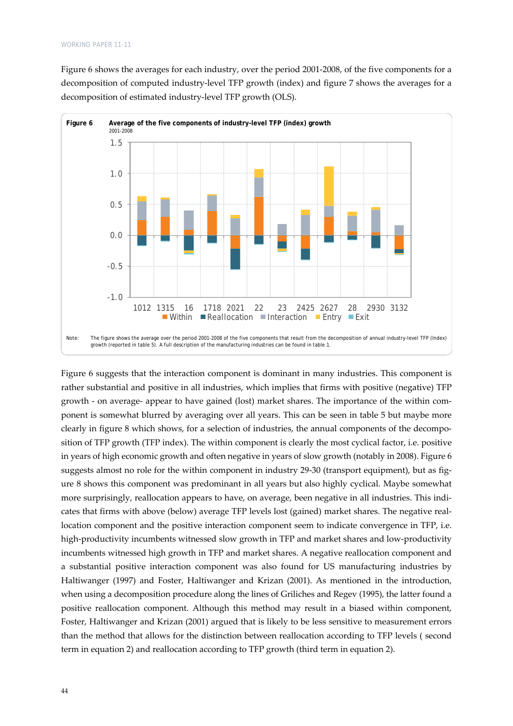Figure 6 shows the averages for each industry, over the period 2001‐2008, of the five components for a decomposition of computed industry‐level TFP growth (index) and figure 7 shows the averages for a decomposition of estimated industry‐level TFP growth (OLS).



Figure 6 suggests that the interaction component is dominant in many industries. This component is rather substantial and positive in all industries, which implies that firms with positive (negative) TFP growth - on average- appear to have gained (lost) market shares. The importance of the within component is somewhat blurred by averaging over all years. This can be seen in table 5 but maybe more clearly in figure 8 which shows, for a selection of industries, the annual components of the decomposition of TFP growth (TFP index). The within component is clearly the most cyclical factor, i.e. positive in years of high economic growth and often negative in years of slow growth (notably in 2008). Figure 6 suggests almost no role for the within component in industry 29-30 (transport equipment), but as figure 8 shows this component was predominant in all years but also highly cyclical. Maybe somewhat more surprisingly, reallocation appears to have, on average, been negative in all industries. This indicates that firms with above (below) average TFP levels lost (gained) market shares. The negative real‐ location component and the positive interaction component seem to indicate convergence in TFP, i.e. high-productivity incumbents witnessed slow growth in TFP and market shares and low-productivity incumbents witnessed high growth in TFP and market shares. A negative reallocation component and a substantial positive interaction component was also found for US manufacturing industries by Haltiwanger (1997) and Foster, Haltiwanger and Krizan (2001). As mentioned in the introduction, when using a decomposition procedure along the lines of Griliches and Regev (1995), the latter found a positive reallocation component. Although this method may result in a biased within component, Foster, Haltiwanger and Krizan (2001) argued that is likely to be less sensitive to measurement errors than the method that allows for the distinction between reallocation according to TFP levels ( second term in equation 2) and reallocation according to TFP growth (third term in equation 2).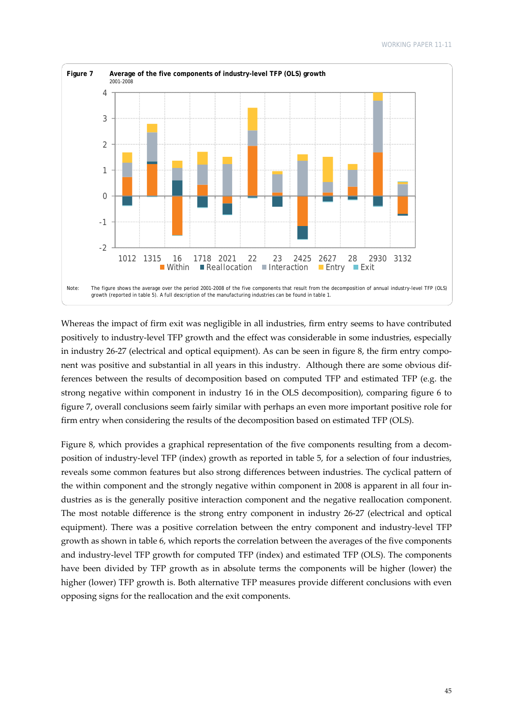

Whereas the impact of firm exit was negligible in all industries, firm entry seems to have contributed positively to industry‐level TFP growth and the effect was considerable in some industries, especially in industry 26-27 (electrical and optical equipment). As can be seen in figure 8, the firm entry component was positive and substantial in all years in this industry. Although there are some obvious dif‐ ferences between the results of decomposition based on computed TFP and estimated TFP (e.g. the strong negative within component in industry 16 in the OLS decomposition), comparing figure 6 to figure 7, overall conclusions seem fairly similar with perhaps an even more important positive role for firm entry when considering the results of the decomposition based on estimated TFP (OLS).

Figure 8, which provides a graphical representation of the five components resulting from a decomposition of industry‐level TFP (index) growth as reported in table 5, for a selection of four industries, reveals some common features but also strong differences between industries. The cyclical pattern of the within component and the strongly negative within component in 2008 is apparent in all four industries as is the generally positive interaction component and the negative reallocation component. The most notable difference is the strong entry component in industry 26‐27 (electrical and optical equipment). There was a positive correlation between the entry component and industry-level TFP growth as shown in table 6, which reports the correlation between the averages of the five components and industry‐level TFP growth for computed TFP (index) and estimated TFP (OLS). The components have been divided by TFP growth as in absolute terms the components will be higher (lower) the higher (lower) TFP growth is. Both alternative TFP measures provide different conclusions with even opposing signs for the reallocation and the exit components.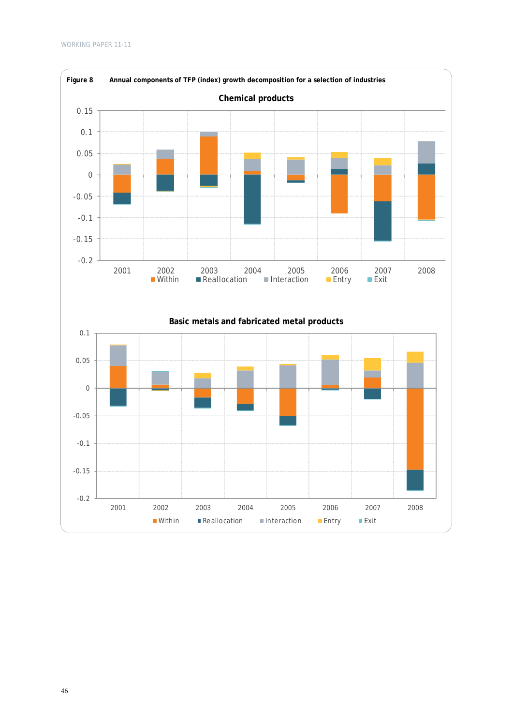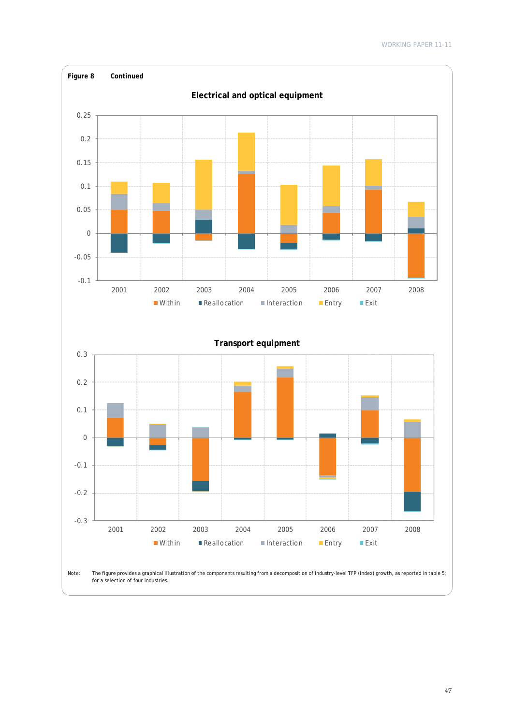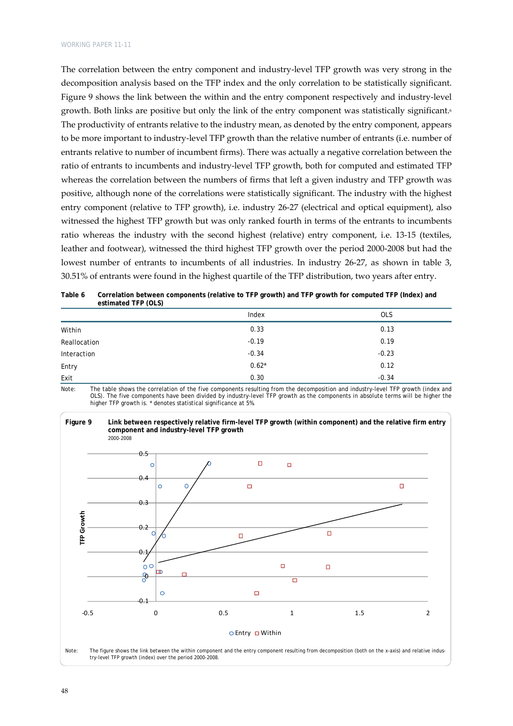The correlation between the entry component and industry-level TFP growth was very strong in the decomposition analysis based on the TFP index and the only correlation to be statistically significant. Figure 9 shows the link between the within and the entry component respectively and industry-level growth. Both links are positive but only the link of the entry component was statistically significant.6 The productivity of entrants relative to the industry mean, as denoted by the entry component, appears to be more important to industry‐level TFP growth than the relative number of entrants (i.e. number of entrants relative to number of incumbent firms). There was actually a negative correlation between the ratio of entrants to incumbents and industry‐level TFP growth, both for computed and estimated TFP whereas the correlation between the numbers of firms that left a given industry and TFP growth was positive, although none of the correlations were statistically significant. The industry with the highest entry component (relative to TFP growth), i.e. industry 26‐27 (electrical and optical equipment), also witnessed the highest TFP growth but was only ranked fourth in terms of the entrants to incumbents ratio whereas the industry with the second highest (relative) entry component, i.e. 13‐15 (textiles, leather and footwear), witnessed the third highest TFP growth over the period 2000‐2008 but had the lowest number of entrants to incumbents of all industries. In industry 26‐27, as shown in table 3, 30.51% of entrants were found in the highest quartile of the TFP distribution, two years after entry.

| Table 6 | Correlation between components (relative to TFP growth) and TFP growth for computed TFP (Index) and |  |
|---------|-----------------------------------------------------------------------------------------------------|--|
|         | estimated TFP (OLS)                                                                                 |  |

|              | Index   | <b>OLS</b> |
|--------------|---------|------------|
| Within       | 0.33    | 0.13       |
| Reallocation | $-0.19$ | 0.19       |
| Interaction  | $-0.34$ | $-0.23$    |
| Entry        | $0.62*$ | 0.12       |
| Exit         | 0.30    | $-0.34$    |

Note: The table shows the correlation of the five components resulting from the decomposition and industry-level TFP growth (index and OLS). The five components have been divided by industry-level TFP growth as the components in absolute terms will be higher the higher TFP growth is. \* denotes statistical significance at 5%.

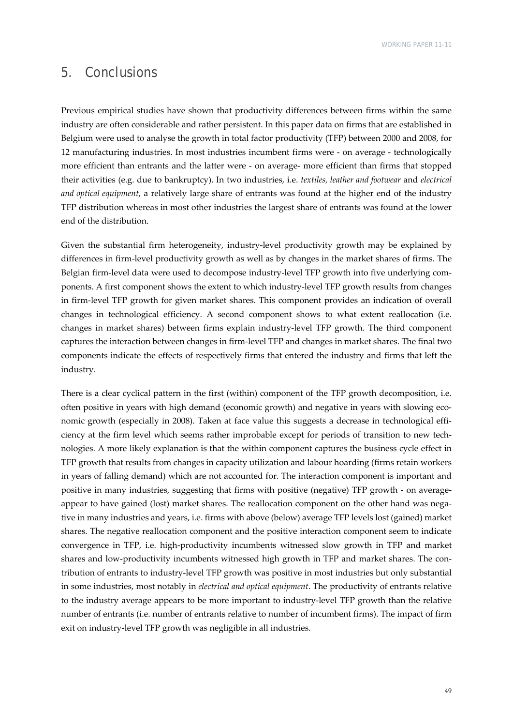## 5. Conclusions

Previous empirical studies have shown that productivity differences between firms within the same industry are often considerable and rather persistent. In this paper data on firms that are established in Belgium were used to analyse the growth in total factor productivity (TFP) between 2000 and 2008, for 12 manufacturing industries. In most industries incumbent firms were ‐ on average ‐ technologically more efficient than entrants and the latter were - on average- more efficient than firms that stopped their activities (e.g. due to bankruptcy). In two industries, i.e. *textiles, leather and footwear* and *electrical and optical equipment*, a relatively large share of entrants was found at the higher end of the industry TFP distribution whereas in most other industries the largest share of entrants was found at the lower end of the distribution.

Given the substantial firm heterogeneity, industry-level productivity growth may be explained by differences in firm‐level productivity growth as well as by changes in the market shares of firms. The Belgian firm-level data were used to decompose industry-level TFP growth into five underlying components. A first component shows the extent to which industry-level TFP growth results from changes in firm‐level TFP growth for given market shares. This component provides an indication of overall changes in technological efficiency. A second component shows to what extent reallocation (i.e. changes in market shares) between firms explain industry‐level TFP growth. The third component captures the interaction between changes in firm‐level TFP and changes in market shares. The final two components indicate the effects of respectively firms that entered the industry and firms that left the industry.

There is a clear cyclical pattern in the first (within) component of the TFP growth decomposition, i.e. often positive in years with high demand (economic growth) and negative in years with slowing economic growth (especially in 2008). Taken at face value this suggests a decrease in technological efficiency at the firm level which seems rather improbable except for periods of transition to new technologies. A more likely explanation is that the within component captures the business cycle effect in TFP growth that results from changes in capacity utilization and labour hoarding (firms retain workers in years of falling demand) which are not accounted for. The interaction component is important and positive in many industries, suggesting that firms with positive (negative) TFP growth - on averageappear to have gained (lost) market shares. The reallocation component on the other hand was negative in many industries and years, i.e. firms with above (below) average TFP levels lost (gained) market shares. The negative reallocation component and the positive interaction component seem to indicate convergence in TFP, i.e. high-productivity incumbents witnessed slow growth in TFP and market shares and low-productivity incumbents witnessed high growth in TFP and market shares. The contribution of entrants to industry‐level TFP growth was positive in most industries but only substantial in some industries, most notably in *electrical and optical equipment*. The productivity of entrants relative to the industry average appears to be more important to industry‐level TFP growth than the relative number of entrants (i.e. number of entrants relative to number of incumbent firms). The impact of firm exit on industry‐level TFP growth was negligible in all industries.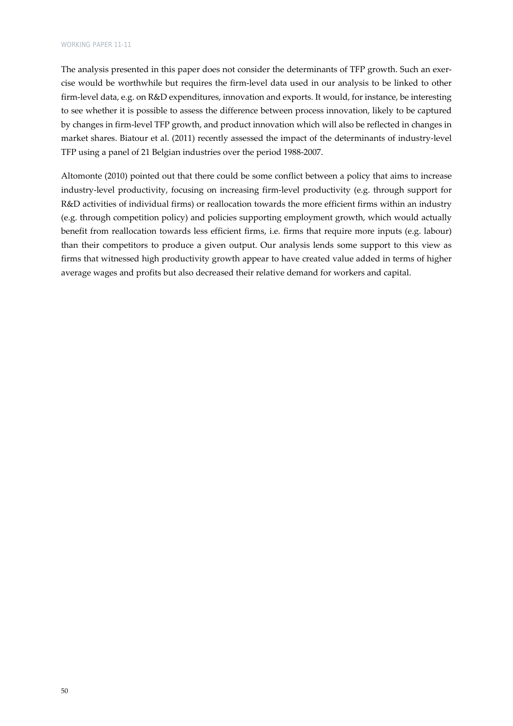The analysis presented in this paper does not consider the determinants of TFP growth. Such an exercise would be worthwhile but requires the firm‐level data used in our analysis to be linked to other firm-level data, e.g. on R&D expenditures, innovation and exports. It would, for instance, be interesting to see whether it is possible to assess the difference between process innovation, likely to be captured by changes in firm‐level TFP growth, and product innovation which will also be reflected in changes in market shares. Biatour et al. (2011) recently assessed the impact of the determinants of industry‐level TFP using a panel of 21 Belgian industries over the period 1988‐2007.

Altomonte (2010) pointed out that there could be some conflict between a policy that aims to increase industry‐level productivity, focusing on increasing firm‐level productivity (e.g. through support for R&D activities of individual firms) or reallocation towards the more efficient firms within an industry (e.g. through competition policy) and policies supporting employment growth, which would actually benefit from reallocation towards less efficient firms, i.e. firms that require more inputs (e.g. labour) than their competitors to produce a given output. Our analysis lends some support to this view as firms that witnessed high productivity growth appear to have created value added in terms of higher average wages and profits but also decreased their relative demand for workers and capital.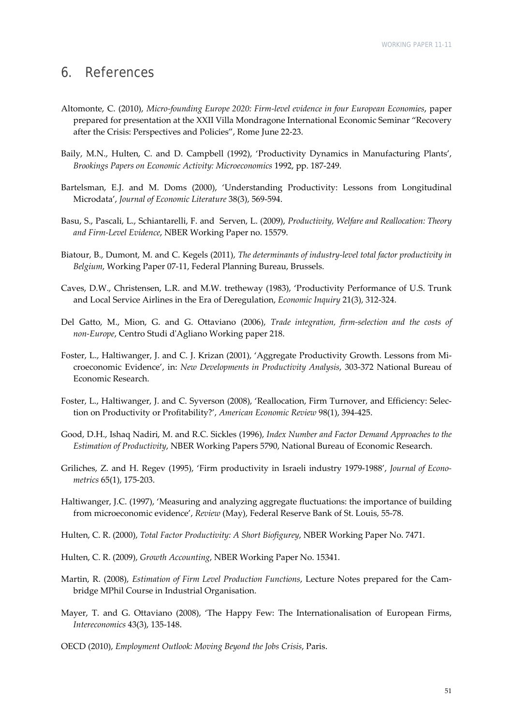## 6. References

- Altomonte, C. (2010), *Micro‐founding Europe 2020: Firm‐level evidence in four European Economies*, paper prepared for presentation at the XXII Villa Mondragone International Economic Seminar "Recovery after the Crisis: Perspectives and Policies", Rome June 22‐23.
- Baily, M.N., Hulten, C. and D. Campbell (1992), 'Productivity Dynamics in Manufacturing Plants', *Brookings Papers on Economic Activity: Microeconomics* 1992, pp. 187‐249.
- Bartelsman, E.J. and M. Doms (2000), 'Understanding Productivity: Lessons from Longitudinal Microdata', *Journal of Economic Literature* 38(3), 569‐594.
- Basu, S., Pascali, L., Schiantarelli, F. and Serven, L. (2009), *Productivity, Welfare and Reallocation: Theory and Firm‐Level Evidence*, NBER Working Paper no. 15579.
- Biatour, B., Dumont, M. and C. Kegels (2011), *The determinants of industry‐level total factor productivity in Belgium*, Working Paper 07‐11, Federal Planning Bureau, Brussels.
- Caves, D.W., Christensen, L.R. and M.W. tretheway (1983), 'Productivity Performance of U.S. Trunk and Local Service Airlines in the Era of Deregulation, *Economic Inquiry* 21(3), 312‐324.
- Del Gatto, M., Mion, G. and G. Ottaviano (2006), *Trade integration, firm‐selection and the costs of non‐Europe*, Centro Studi dʹAgliano Working paper 218.
- Foster, L., Haltiwanger, J. and C. J. Krizan (2001), 'Aggregate Productivity Growth. Lessons from Mi‐ croeconomic Evidence', in: *New Developments in Productivity Analysis*, 303‐372 National Bureau of Economic Research.
- Foster, L., Haltiwanger, J. and C. Syverson (2008), 'Reallocation, Firm Turnover, and Efficiency: Selec‐ tion on Productivity or Profitability?', *American Economic Review* 98(1), 394‐425.
- Good, D.H., Ishaq Nadiri, M. and R.C. Sickles (1996), *Index Number and Factor Demand Approaches to the Estimation of Productivity*, NBER Working Papers 5790, National Bureau of Economic Research.
- Griliches, Z. and H. Regev (1995), 'Firm productivity in Israeli industry 1979‐1988', *Journal of Econo‐ metrics* 65(1), 175‐203.
- Haltiwanger, J.C. (1997), 'Measuring and analyzing aggregate fluctuations: the importance of building from microeconomic evidence', *Review* (May), Federal Reserve Bank of St. Louis, 55‐78.
- Hulten, C. R. (2000), *Total Factor Productivity: A Short Biofigurey*, NBER Working Paper No. 7471.
- Hulten, C. R. (2009), *Growth Accounting*, NBER Working Paper No. 15341.
- Martin, R. (2008), *Estimation of Firm Level Production Functions*, Lecture Notes prepared for the Cam‐ bridge MPhil Course in Industrial Organisation.
- Mayer, T. and G. Ottaviano (2008), 'The Happy Few: The Internationalisation of European Firms, *Intereconomics* 43(3), 135‐148.
- OECD (2010), *Employment Outlook: Moving Beyond the Jobs Crisis*, Paris.